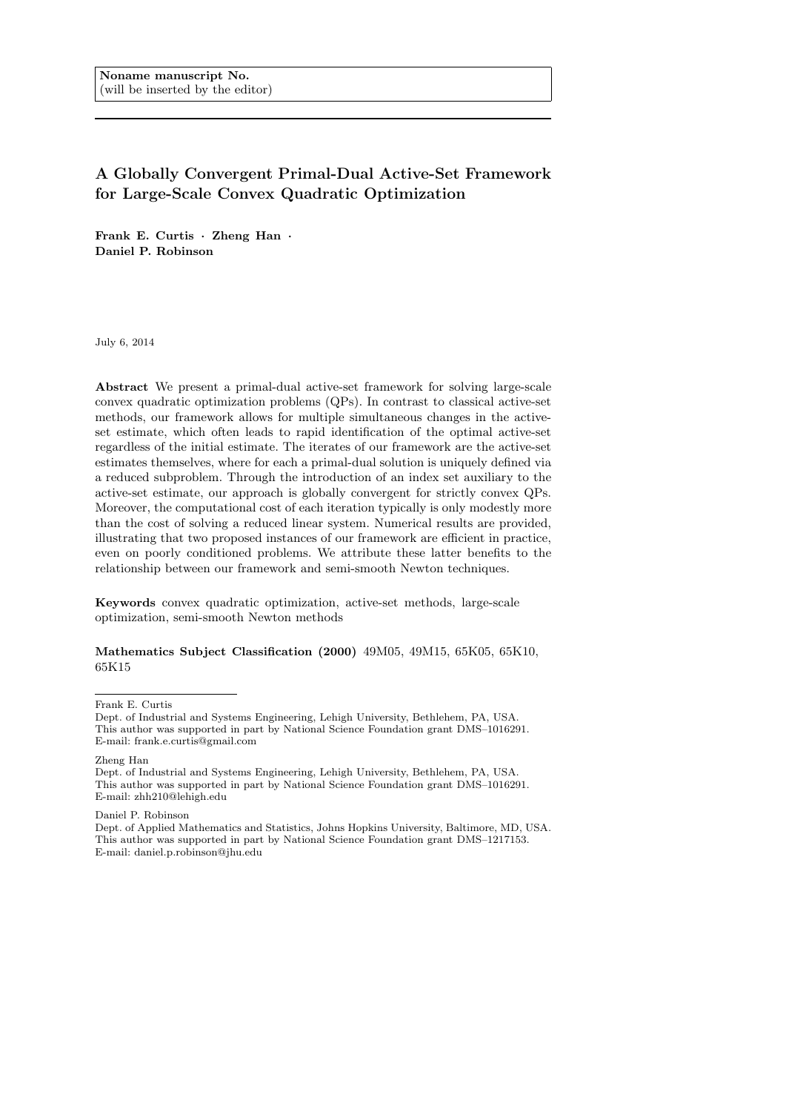# A Globally Convergent Primal-Dual Active-Set Framework for Large-Scale Convex Quadratic Optimization

Frank E. Curtis · Zheng Han · Daniel P. Robinson

July 6, 2014

Abstract We present a primal-dual active-set framework for solving large-scale convex quadratic optimization problems (QPs). In contrast to classical active-set methods, our framework allows for multiple simultaneous changes in the activeset estimate, which often leads to rapid identification of the optimal active-set regardless of the initial estimate. The iterates of our framework are the active-set estimates themselves, where for each a primal-dual solution is uniquely defined via a reduced subproblem. Through the introduction of an index set auxiliary to the active-set estimate, our approach is globally convergent for strictly convex QPs. Moreover, the computational cost of each iteration typically is only modestly more than the cost of solving a reduced linear system. Numerical results are provided, illustrating that two proposed instances of our framework are efficient in practice, even on poorly conditioned problems. We attribute these latter benefits to the relationship between our framework and semi-smooth Newton techniques.

Keywords convex quadratic optimization, active-set methods, large-scale optimization, semi-smooth Newton methods

Mathematics Subject Classification (2000) 49M05, 49M15, 65K05, 65K10, 65K15

Frank E. Curtis

Zheng Han

Dept. of Industrial and Systems Engineering, Lehigh University, Bethlehem, PA, USA. This author was supported in part by National Science Foundation grant DMS–1016291. E-mail: zhh210@lehigh.edu

Daniel P. Robinson

Dept. of Applied Mathematics and Statistics, Johns Hopkins University, Baltimore, MD, USA. This author was supported in part by National Science Foundation grant DMS–1217153. E-mail: daniel.p.robinson@jhu.edu

Dept. of Industrial and Systems Engineering, Lehigh University, Bethlehem, PA, USA. This author was supported in part by National Science Foundation grant DMS–1016291. E-mail: frank.e.curtis@gmail.com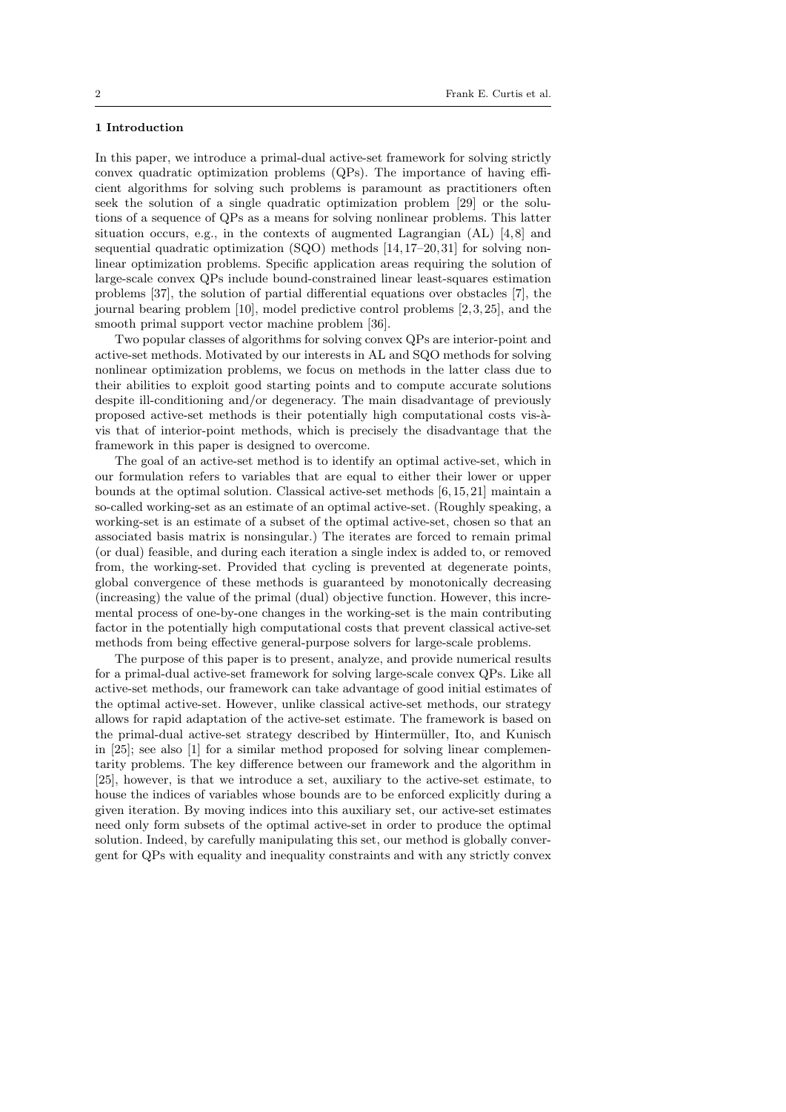## 1 Introduction

In this paper, we introduce a primal-dual active-set framework for solving strictly convex quadratic optimization problems (QPs). The importance of having efficient algorithms for solving such problems is paramount as practitioners often seek the solution of a single quadratic optimization problem [29] or the solutions of a sequence of QPs as a means for solving nonlinear problems. This latter situation occurs, e.g., in the contexts of augmented Lagrangian (AL) [4,8] and sequential quadratic optimization (SQO) methods [14, 17–20, 31] for solving nonlinear optimization problems. Specific application areas requiring the solution of large-scale convex QPs include bound-constrained linear least-squares estimation problems [37], the solution of partial differential equations over obstacles [7], the journal bearing problem [10], model predictive control problems [2, 3, 25], and the smooth primal support vector machine problem [36].

Two popular classes of algorithms for solving convex QPs are interior-point and active-set methods. Motivated by our interests in AL and SQO methods for solving nonlinear optimization problems, we focus on methods in the latter class due to their abilities to exploit good starting points and to compute accurate solutions despite ill-conditioning and/or degeneracy. The main disadvantage of previously proposed active-set methods is their potentially high computational costs vis- $\grave{a}$ vis that of interior-point methods, which is precisely the disadvantage that the framework in this paper is designed to overcome.

The goal of an active-set method is to identify an optimal active-set, which in our formulation refers to variables that are equal to either their lower or upper bounds at the optimal solution. Classical active-set methods [6, 15, 21] maintain a so-called working-set as an estimate of an optimal active-set. (Roughly speaking, a working-set is an estimate of a subset of the optimal active-set, chosen so that an associated basis matrix is nonsingular.) The iterates are forced to remain primal (or dual) feasible, and during each iteration a single index is added to, or removed from, the working-set. Provided that cycling is prevented at degenerate points, global convergence of these methods is guaranteed by monotonically decreasing (increasing) the value of the primal (dual) objective function. However, this incremental process of one-by-one changes in the working-set is the main contributing factor in the potentially high computational costs that prevent classical active-set methods from being effective general-purpose solvers for large-scale problems.

The purpose of this paper is to present, analyze, and provide numerical results for a primal-dual active-set framework for solving large-scale convex QPs. Like all active-set methods, our framework can take advantage of good initial estimates of the optimal active-set. However, unlike classical active-set methods, our strategy allows for rapid adaptation of the active-set estimate. The framework is based on the primal-dual active-set strategy described by Hinterm¨uller, Ito, and Kunisch in [25]; see also [1] for a similar method proposed for solving linear complementarity problems. The key difference between our framework and the algorithm in [25], however, is that we introduce a set, auxiliary to the active-set estimate, to house the indices of variables whose bounds are to be enforced explicitly during a given iteration. By moving indices into this auxiliary set, our active-set estimates need only form subsets of the optimal active-set in order to produce the optimal solution. Indeed, by carefully manipulating this set, our method is globally convergent for QPs with equality and inequality constraints and with any strictly convex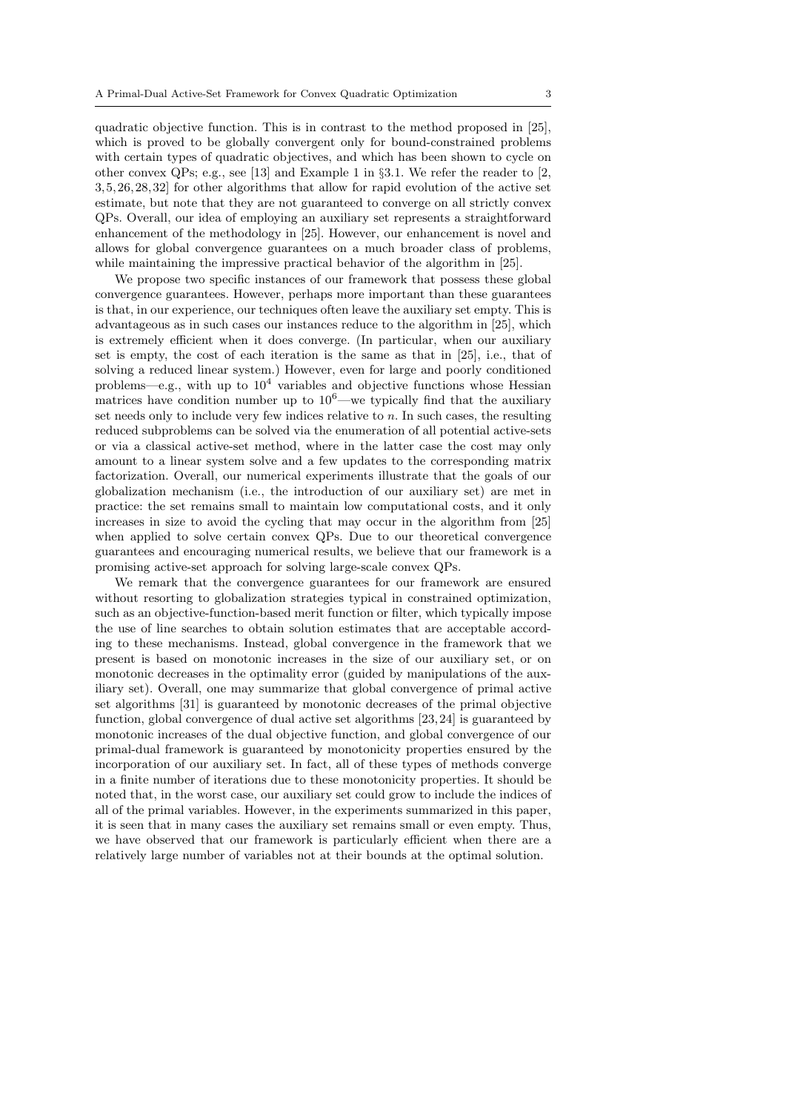quadratic objective function. This is in contrast to the method proposed in [25], which is proved to be globally convergent only for bound-constrained problems with certain types of quadratic objectives, and which has been shown to cycle on other convex QPs; e.g., see [13] and Example 1 in §3.1. We refer the reader to [2, 3, 5, 26, 28, 32] for other algorithms that allow for rapid evolution of the active set estimate, but note that they are not guaranteed to converge on all strictly convex QPs. Overall, our idea of employing an auxiliary set represents a straightforward enhancement of the methodology in [25]. However, our enhancement is novel and allows for global convergence guarantees on a much broader class of problems, while maintaining the impressive practical behavior of the algorithm in [25].

We propose two specific instances of our framework that possess these global convergence guarantees. However, perhaps more important than these guarantees is that, in our experience, our techniques often leave the auxiliary set empty. This is advantageous as in such cases our instances reduce to the algorithm in [25], which is extremely efficient when it does converge. (In particular, when our auxiliary set is empty, the cost of each iteration is the same as that in [25], i.e., that of solving a reduced linear system.) However, even for large and poorly conditioned problems—e.g., with up to  $10^4$  variables and objective functions whose Hessian matrices have condition number up to  $10^6$ —we typically find that the auxiliary set needs only to include very few indices relative to  $n$ . In such cases, the resulting reduced subproblems can be solved via the enumeration of all potential active-sets or via a classical active-set method, where in the latter case the cost may only amount to a linear system solve and a few updates to the corresponding matrix factorization. Overall, our numerical experiments illustrate that the goals of our globalization mechanism (i.e., the introduction of our auxiliary set) are met in practice: the set remains small to maintain low computational costs, and it only increases in size to avoid the cycling that may occur in the algorithm from [25] when applied to solve certain convex QPs. Due to our theoretical convergence guarantees and encouraging numerical results, we believe that our framework is a promising active-set approach for solving large-scale convex QPs.

We remark that the convergence guarantees for our framework are ensured without resorting to globalization strategies typical in constrained optimization, such as an objective-function-based merit function or filter, which typically impose the use of line searches to obtain solution estimates that are acceptable according to these mechanisms. Instead, global convergence in the framework that we present is based on monotonic increases in the size of our auxiliary set, or on monotonic decreases in the optimality error (guided by manipulations of the auxiliary set). Overall, one may summarize that global convergence of primal active set algorithms [31] is guaranteed by monotonic decreases of the primal objective function, global convergence of dual active set algorithms [23, 24] is guaranteed by monotonic increases of the dual objective function, and global convergence of our primal-dual framework is guaranteed by monotonicity properties ensured by the incorporation of our auxiliary set. In fact, all of these types of methods converge in a finite number of iterations due to these monotonicity properties. It should be noted that, in the worst case, our auxiliary set could grow to include the indices of all of the primal variables. However, in the experiments summarized in this paper, it is seen that in many cases the auxiliary set remains small or even empty. Thus, we have observed that our framework is particularly efficient when there are a relatively large number of variables not at their bounds at the optimal solution.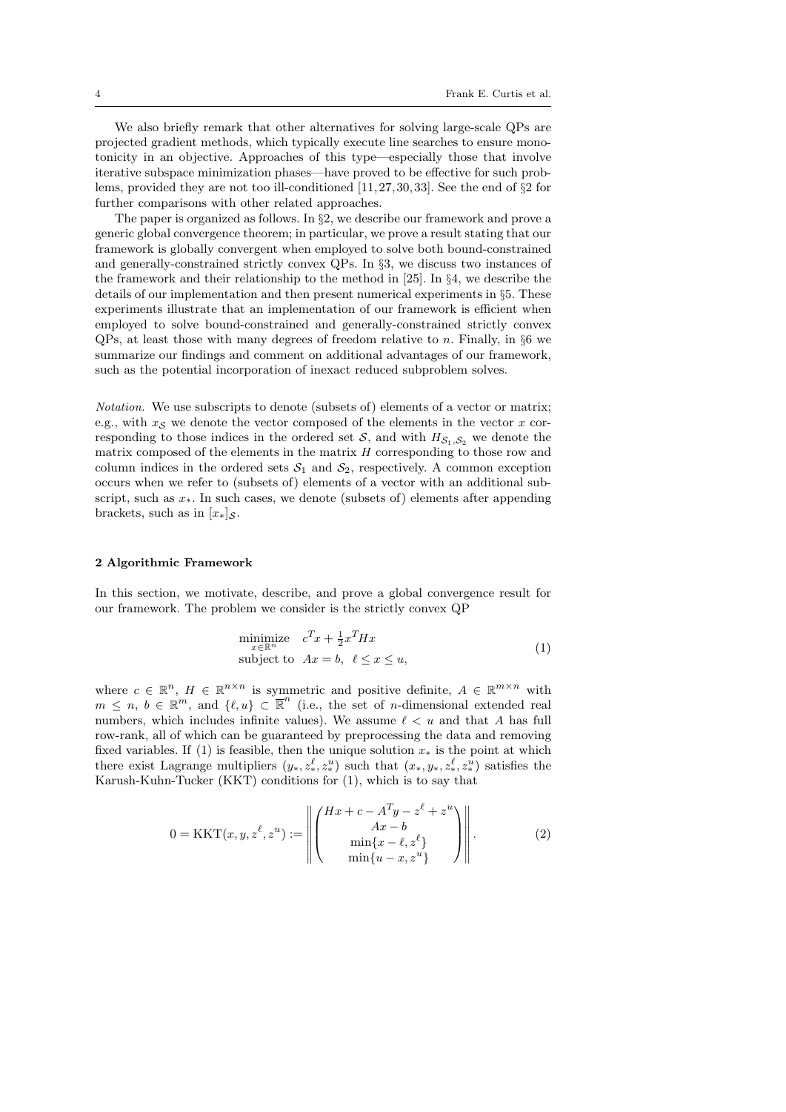We also briefly remark that other alternatives for solving large-scale QPs are projected gradient methods, which typically execute line searches to ensure monotonicity in an objective. Approaches of this type—especially those that involve iterative subspace minimization phases—have proved to be effective for such problems, provided they are not too ill-conditioned  $[11, 27, 30, 33]$ . See the end of  $\S 2$  for further comparisons with other related approaches.

The paper is organized as follows. In §2, we describe our framework and prove a generic global convergence theorem; in particular, we prove a result stating that our framework is globally convergent when employed to solve both bound-constrained and generally-constrained strictly convex QPs. In §3, we discuss two instances of the framework and their relationship to the method in [25]. In §4, we describe the details of our implementation and then present numerical experiments in §5. These experiments illustrate that an implementation of our framework is efficient when employed to solve bound-constrained and generally-constrained strictly convex QPs, at least those with many degrees of freedom relative to n. Finally, in §6 we summarize our findings and comment on additional advantages of our framework, such as the potential incorporation of inexact reduced subproblem solves.

Notation. We use subscripts to denote (subsets of) elements of a vector or matrix; e.g., with  $x_S$  we denote the vector composed of the elements in the vector x corresponding to those indices in the ordered set S, and with  $H_{S_1,S_2}$  we denote the matrix composed of the elements in the matrix  $H$  corresponding to those row and column indices in the ordered sets  $S_1$  and  $S_2$ , respectively. A common exception occurs when we refer to (subsets of) elements of a vector with an additional subscript, such as  $x_*$ . In such cases, we denote (subsets of) elements after appending brackets, such as in  $[x_*]_{\mathcal{S}}$ .

#### 2 Algorithmic Framework

In this section, we motivate, describe, and prove a global convergence result for our framework. The problem we consider is the strictly convex QP

$$
\begin{array}{ll}\text{minimize} & c^T x + \frac{1}{2} x^T H x\\ \text{subject to} & Ax = b, \ \ell \le x \le u,\end{array} \tag{1}
$$

where  $c \in \mathbb{R}^n$ ,  $H \in \mathbb{R}^{n \times n}$  is symmetric and positive definite,  $A \in \mathbb{R}^{m \times n}$  with  $m \leq n, b \in \mathbb{R}^m$ , and  $\{\ell, u\} \subset \mathbb{R}^n$  (i.e., the set of *n*-dimensional extended real numbers, which includes infinite values). We assume  $\ell < u$  and that A has full row-rank, all of which can be guaranteed by preprocessing the data and removing fixed variables. If (1) is feasible, then the unique solution  $x_*$  is the point at which there exist Lagrange multipliers  $(y_*, z_*^{\ell}, z_*^u)$  such that  $(x_*, y_*, z_*^{\ell}, z_*^u)$  satisfies the Karush-Kuhn-Tucker (KKT) conditions for (1), which is to say that

$$
0 = \text{KKT}(x, y, z^{\ell}, z^u) := \left\| \begin{pmatrix} Hx + c - A^T y - z^{\ell} + z^u \\ Ax - b \\ \min\{x - \ell, z^{\ell}\} \\ \min\{u - x, z^u\} \end{pmatrix} \right\|. \tag{2}
$$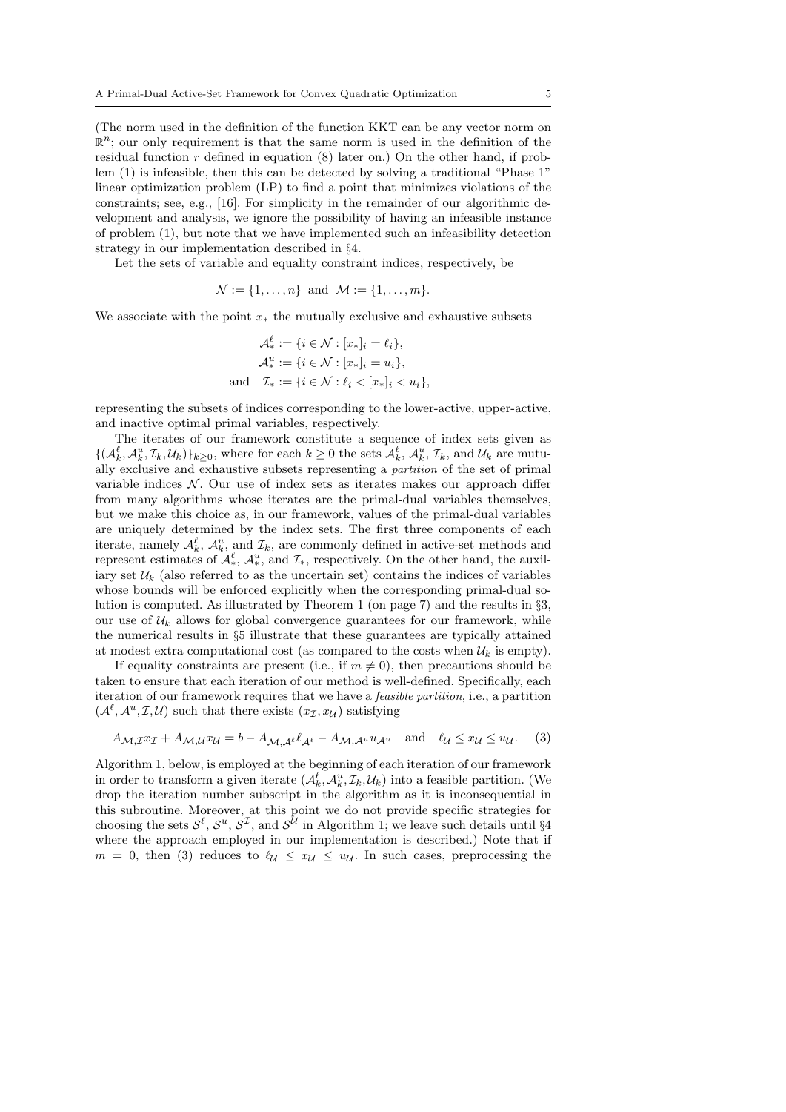(The norm used in the definition of the function KKT can be any vector norm on  $\mathbb{R}^n$ ; our only requirement is that the same norm is used in the definition of the residual function  $r$  defined in equation  $(8)$  later on.) On the other hand, if problem (1) is infeasible, then this can be detected by solving a traditional "Phase 1" linear optimization problem (LP) to find a point that minimizes violations of the constraints; see, e.g., [16]. For simplicity in the remainder of our algorithmic development and analysis, we ignore the possibility of having an infeasible instance of problem (1), but note that we have implemented such an infeasibility detection strategy in our implementation described in §4.

Let the sets of variable and equality constraint indices, respectively, be

$$
\mathcal{N} := \{1, \ldots, n\} \text{ and } \mathcal{M} := \{1, \ldots, m\}.
$$

We associate with the point  $x_*$  the mutually exclusive and exhaustive subsets

$$
\mathcal{A}_{*}^{\ell} := \{i \in \mathcal{N} : [x_{*}]_{i} = \ell_{i}\},
$$
  

$$
\mathcal{A}_{*}^{u} := \{i \in \mathcal{N} : [x_{*}]_{i} = u_{i}\},
$$
  
and 
$$
\mathcal{I}_{*} := \{i \in \mathcal{N} : \ell_{i} < [x_{*}]_{i} < u_{i}\},
$$

representing the subsets of indices corresponding to the lower-active, upper-active, and inactive optimal primal variables, respectively.

The iterates of our framework constitute a sequence of index sets given as  $\{(\mathcal{A}_k^{\ell}, \mathcal{A}_k^u, \mathcal{I}_k, \mathcal{U}_k)\}_{k \geq 0}$ , where for each  $k \geq 0$  the sets  $\mathcal{A}_k^{\ell}, \mathcal{A}_k^u, \mathcal{I}_k$ , and  $\mathcal{U}_k$  are mutually exclusive and exhaustive subsets representing a partition of the set of primal variable indices  $N$ . Our use of index sets as iterates makes our approach differ from many algorithms whose iterates are the primal-dual variables themselves, but we make this choice as, in our framework, values of the primal-dual variables are uniquely determined by the index sets. The first three components of each iterate, namely  $\mathcal{A}_k^{\ell}$ ,  $\mathcal{A}_k^u$ , and  $\mathcal{I}_k$ , are commonly defined in active-set methods and represent estimates of  $\mathcal{A}_{*}^{\ell}, \mathcal{A}_{*}^{u}$ , and  $\mathcal{I}_{*}$ , respectively. On the other hand, the auxiliary set  $\mathcal{U}_k$  (also referred to as the uncertain set) contains the indices of variables whose bounds will be enforced explicitly when the corresponding primal-dual solution is computed. As illustrated by Theorem 1 (on page 7) and the results in §3, our use of  $\mathcal{U}_k$  allows for global convergence guarantees for our framework, while the numerical results in §5 illustrate that these guarantees are typically attained at modest extra computational cost (as compared to the costs when  $\mathcal{U}_k$  is empty).

If equality constraints are present (i.e., if  $m \neq 0$ ), then precautions should be taken to ensure that each iteration of our method is well-defined. Specifically, each iteration of our framework requires that we have a feasible partition, i.e., a partition  $(\mathcal{A}^{\ell}, \mathcal{A}^u, \mathcal{I}, \mathcal{U})$  such that there exists  $(x_{\mathcal{I}}, x_{\mathcal{U}})$  satisfying

$$
A_{\mathcal{M},\mathcal{I}} x_{\mathcal{I}} + A_{\mathcal{M},\mathcal{U}} x_{\mathcal{U}} = b - A_{\mathcal{M},\mathcal{A}} e^{\ell} A_{\ell} - A_{\mathcal{M},\mathcal{A}} u u_{\mathcal{A}} u \quad \text{and} \quad \ell_{\mathcal{U}} \leq x_{\mathcal{U}} \leq u_{\mathcal{U}}. \tag{3}
$$

Algorithm 1, below, is employed at the beginning of each iteration of our framework in order to transform a given iterate  $(\mathcal{A}_k^{\ell}, \mathcal{A}_k^u, \mathcal{I}_k, \mathcal{U}_k)$  into a feasible partition. (We drop the iteration number subscript in the algorithm as it is inconsequential in this subroutine. Moreover, at this point we do not provide specific strategies for choosing the sets  $\mathcal{S}^{\ell}, \mathcal{S}^{u}, \mathcal{S}^{\mathcal{I}},$  and  $\mathcal{S}^{\mathcal{U}}$  in Algorithm 1; we leave such details until §4 where the approach employed in our implementation is described.) Note that if  $m = 0$ , then (3) reduces to  $\ell \leq x \leq u \leq u$ . In such cases, preprocessing the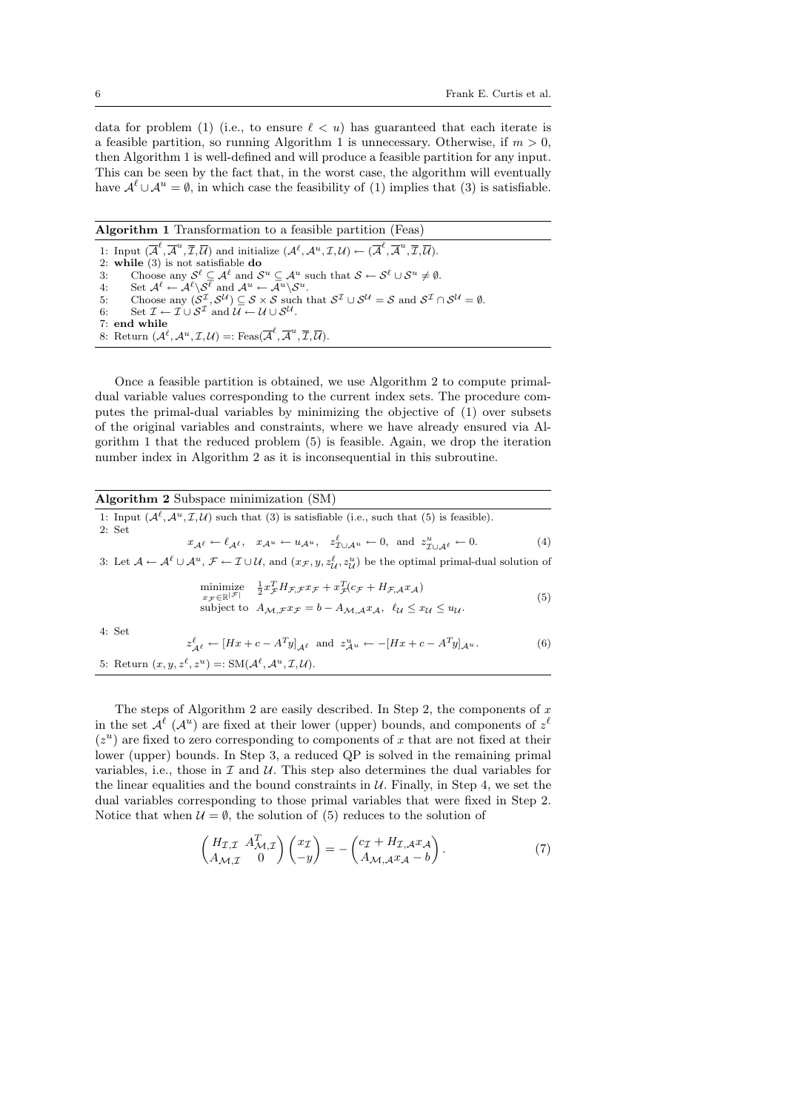data for problem (1) (i.e., to ensure  $\ell < u$ ) has guaranteed that each iterate is a feasible partition, so running Algorithm 1 is unnecessary. Otherwise, if  $m > 0$ , then Algorithm 1 is well-defined and will produce a feasible partition for any input. This can be seen by the fact that, in the worst case, the algorithm will eventually have  $\mathcal{A}^{\ell} \cup \mathcal{A}^{u} = \emptyset$ , in which case the feasibility of (1) implies that (3) is satisfiable.

Algorithm 1 Transformation to a feasible partition (Feas) 1: Input  $(\overline{\mathcal{A}}^{\ell}, \overline{\mathcal{A}}^u, \overline{\mathcal{I}}, \overline{\mathcal{U}})$  and initialize  $(\mathcal{A}^{\ell}, \mathcal{A}^u, \mathcal{I}, \mathcal{U}) \leftarrow (\overline{\mathcal{A}}^{\ell}, \overline{\mathcal{A}}^u, \overline{\mathcal{I}}, \overline{\mathcal{U}})$ . 2: while (3) is not satisfiable do 3: Choose any  $\mathcal{S}^{\ell} \subseteq \mathcal{A}^{\ell}$  and  $\mathcal{S}^u \subseteq \mathcal{A}^u$  such that  $\mathcal{S} \leftarrow \mathcal{S}^{\ell} \cup \mathcal{S}^u \neq \emptyset$ . 4: Set  $\mathcal{A}^{\ell} \leftarrow \mathcal{A}^{\ell} \backslash \mathcal{S}^{\ell}$  and  $\mathcal{A}^{u} \leftarrow \mathcal{A}^{u} \backslash \mathcal{S}^{u}$ . 5: Choose any  $(S^{\mathcal{I}}, S^{\mathcal{U}}) \subseteq S \times S$  such that  $S^{\mathcal{I}} \cup S^{\mathcal{U}} = S$  and  $S^{\mathcal{I}} \cap S^{\mathcal{U}} = \emptyset$ . 6: Set  $\mathcal{I} \leftarrow \mathcal{I} \cup \mathcal{S}^{\mathcal{I}}$  and  $\mathcal{U} \leftarrow \mathcal{U} \cup \mathcal{S}^{\mathcal{U}}$ . 7: end while 8: Return  $(A^{\ell}, A^u, \mathcal{I}, \mathcal{U}) =$ : Feas $(\overline{A}^{\ell}, \overline{A}^u, \overline{\mathcal{I}}, \overline{\mathcal{U}})$ .

Once a feasible partition is obtained, we use Algorithm 2 to compute primaldual variable values corresponding to the current index sets. The procedure computes the primal-dual variables by minimizing the objective of (1) over subsets of the original variables and constraints, where we have already ensured via Algorithm 1 that the reduced problem (5) is feasible. Again, we drop the iteration number index in Algorithm 2 as it is inconsequential in this subroutine.

| <b>Algorithm 2</b> Subspace minimization (SM) |                                                                                                                                                                                                                                                         |     |
|-----------------------------------------------|---------------------------------------------------------------------------------------------------------------------------------------------------------------------------------------------------------------------------------------------------------|-----|
|                                               | 1: Input $(\mathcal{A}^{\ell}, \mathcal{A}^u, \mathcal{I}, \mathcal{U})$ such that (3) is satisfiable (i.e., such that (5) is feasible).                                                                                                                |     |
| 2: Set                                        |                                                                                                                                                                                                                                                         |     |
|                                               | $x_{\mathcal{A}^{\ell}} \leftarrow \ell_{\mathcal{A}^{\ell}}, \quad x_{\mathcal{A}^u} \leftarrow u_{\mathcal{A}^u}, \quad z_{\mathcal{I} \cup \mathcal{A}^u}^{\ell} \leftarrow 0, \text{ and } z_{\mathcal{I} \cup \mathcal{A}^{\ell}}^u \leftarrow 0.$ | (4) |
|                                               | 3: Let $\mathcal{A} \leftarrow \mathcal{A}^{\ell} \cup \mathcal{A}^u$ , $\mathcal{F} \leftarrow \mathcal{I} \cup \mathcal{U}$ , and $(x_{\mathcal{F}}, y, z_{\mathcal{U}}^{\ell}, z_{\mathcal{U}}^u)$ be the optimal primal-dual solution of            |     |
| $x \in \mathbb{R}^{ \mathcal{F} }$            | minimize $\frac{1}{2}x_{\mathcal{F}}^TH_{\mathcal{F},\mathcal{F}}x_{\mathcal{F}}+x_{\mathcal{F}}^T(c_{\mathcal{F}}+H_{\mathcal{F},\mathcal{A}}x_{\mathcal{A}})$                                                                                         |     |
|                                               | subject to $A_{\mathcal{M},\mathcal{F}} x_{\mathcal{F}} = b - A_{\mathcal{M},\mathcal{A}} x_{\mathcal{A}}, \ell_{\mathcal{U}} \leq x_{\mathcal{U}} \leq u_{\mathcal{U}}.$                                                                               | (5) |
|                                               |                                                                                                                                                                                                                                                         |     |

4: Set

$$
z_{\mathcal{A}^{\ell}}^{\ell} \leftarrow [Hx + c - A^{T}y]_{\mathcal{A}^{\ell}} \text{ and } z_{\mathcal{A}^{u}}^{u} \leftarrow -[Hx + c - A^{T}y]_{\mathcal{A}^{u}}.
$$
  
5: Return  $(x, y, z^{\ell}, z^{u}) =: SM(\mathcal{A}^{\ell}, \mathcal{A}^{u}, \mathcal{I}, \mathcal{U}).$  (6)

The steps of Algorithm 2 are easily described. In Step 2, the components of  $x$ in the set  $\mathcal{A}^{\ell}$  ( $\mathcal{A}^{u}$ ) are fixed at their lower (upper) bounds, and components of  $z^{\ell}$  $(z<sup>u</sup>)$  are fixed to zero corresponding to components of x that are not fixed at their lower (upper) bounds. In Step 3, a reduced QP is solved in the remaining primal variables, i.e., those in  $\mathcal I$  and  $\mathcal U$ . This step also determines the dual variables for the linear equalities and the bound constraints in  $U$ . Finally, in Step 4, we set the dual variables corresponding to those primal variables that were fixed in Step 2. Notice that when  $U = \emptyset$ , the solution of (5) reduces to the solution of

$$
\begin{pmatrix} H_{\mathcal{I},\mathcal{I}} & A_{\mathcal{M},\mathcal{I}}^T \\ A_{\mathcal{M},\mathcal{I}} & 0 \end{pmatrix} \begin{pmatrix} x_{\mathcal{I}} \\ -y \end{pmatrix} = - \begin{pmatrix} c_{\mathcal{I}} + H_{\mathcal{I},\mathcal{A}} x_{\mathcal{A}} \\ A_{\mathcal{M},\mathcal{A}} x_{\mathcal{A}} - b \end{pmatrix} . \tag{7}
$$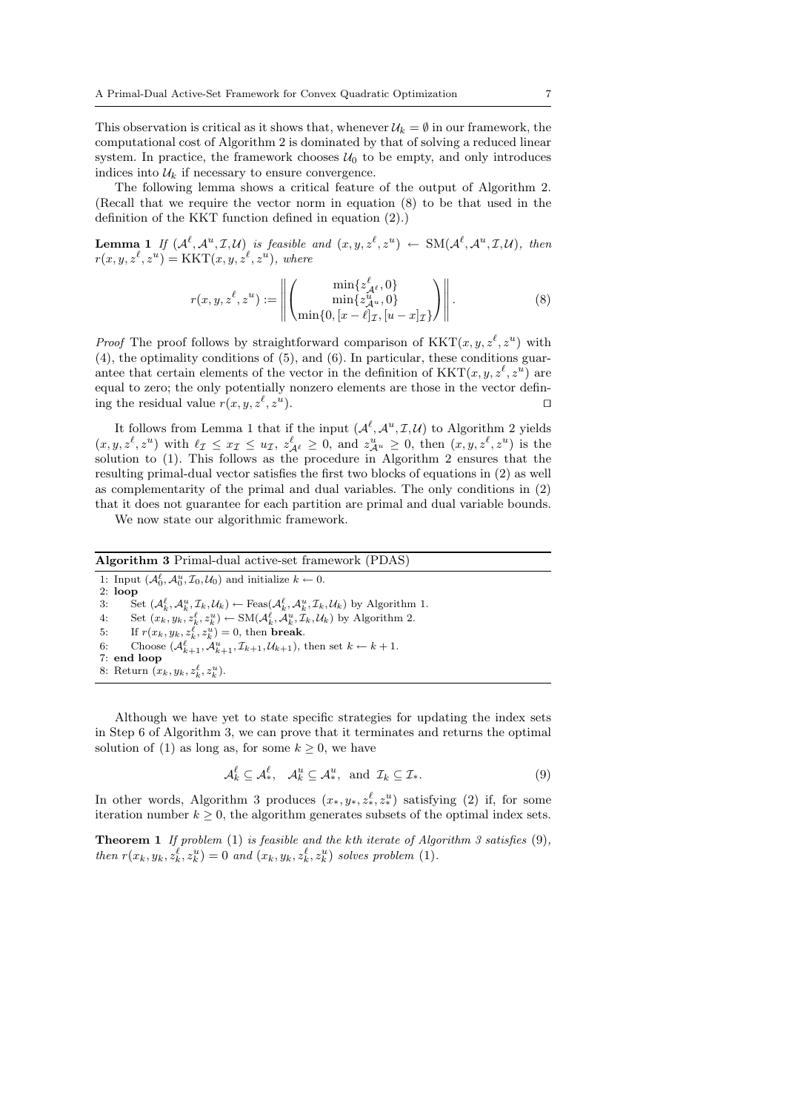This observation is critical as it shows that, whenever  $\mathcal{U}_k = \emptyset$  in our framework, the computational cost of Algorithm 2 is dominated by that of solving a reduced linear system. In practice, the framework chooses  $U_0$  to be empty, and only introduces indices into  $\mathcal{U}_k$  if necessary to ensure convergence.

The following lemma shows a critical feature of the output of Algorithm 2. (Recall that we require the vector norm in equation (8) to be that used in the definition of the KKT function defined in equation (2).)

**Lemma 1** If  $(A^{\ell}, A^u, \mathcal{I}, \mathcal{U})$  is feasible and  $(x, y, z^{\ell}, z^u) \leftarrow SM(A^{\ell}, A^u, \mathcal{I}, \mathcal{U})$ , then  $r(x, y, z^{\ell}, z^u) = \text{KKT}(x, y, z^{\ell}, z^u), \text{ where}$ 

$$
r(x, y, z^{\ell}, z^u) := \left\| \begin{pmatrix} \min\{z^{\ell}_{\mathcal{A}^{\ell}}, 0\} \\ \min\{z^u_{\mathcal{A}^u}, 0\} \\ \min\{0, [x - \ell]_{\mathcal{I}}, [u - x]_{\mathcal{I}}\} \end{pmatrix} \right\|.
$$
 (8)

*Proof* The proof follows by straightforward comparison of  $KKT(x, y, z^{\ell}, z^u)$  with (4), the optimality conditions of (5), and (6). In particular, these conditions guarantee that certain elements of the vector in the definition of  $KKT(x, y, z^{\ell}, z^u)$  are equal to zero; the only potentially nonzero elements are those in the vector defining the residual value  $r(x, y, z^{\ell}, z^{\ell})$ ).  $\qquad \qquad \Box$ 

It follows from Lemma 1 that if the input  $(\mathcal{A}^{\ell}, \mathcal{A}^u, \mathcal{I}, \mathcal{U})$  to Algorithm 2 yields  $(x, y, z^{\ell}, z^u)$  with  $\ell_{\mathcal{I}} \leq x_{\mathcal{I}} \leq u_{\mathcal{I}}, z_{\mathcal{A}^{\ell}}^{\ell} \geq 0$ , and  $z_{\mathcal{A}^u}^u \geq 0$ , then  $(x, y, z^{\ell}, z^u)$  is the solution to (1). This follows as the procedure in Algorithm 2 ensures that the resulting primal-dual vector satisfies the first two blocks of equations in (2) as well as complementarity of the primal and dual variables. The only conditions in (2) that it does not guarantee for each partition are primal and dual variable bounds.

We now state our algorithmic framework.

# Algorithm 3 Primal-dual active-set framework (PDAS)

1: Input  $(\mathcal{A}_0^{\ell}, \mathcal{A}_0^u, \mathcal{I}_0, \mathcal{U}_0)$  and initialize  $k \leftarrow 0$ . 2:  $loop$ <br>3:  $S$ 3: Set  $(\mathcal{A}_k^{\ell}, \mathcal{A}_k^u, \mathcal{I}_k, \mathcal{U}_k) \leftarrow \text{Feas}(\mathcal{A}_k^{\ell}, \mathcal{A}_k^u, \mathcal{I}_k, \mathcal{U}_k)$  by Algorithm 1. 4: Set  $(x_k, y_k, z_k^{\ell}, z_k^u) \leftarrow SM(\mathcal{A}_k^{\ell}, \mathcal{A}_k^u, \mathcal{I}_k, \mathcal{U}_k)$  by Algorithm 2. 5: If  $r(x_k, y_k, z_k^{\ell}, z_k^u) = 0$ , then **break**. 6: Choose  $(\mathcal{A}_{k+1}^{\ell}, \mathcal{A}_{k+1}^u, \mathcal{I}_{k+1}, \mathcal{U}_{k+1}),$  then set  $k \leftarrow k+1$ . 7: end loop 8: Return  $(x_k, y_k, z_k^{\ell}, z_k^u)$ .

Although we have yet to state specific strategies for updating the index sets in Step 6 of Algorithm 3, we can prove that it terminates and returns the optimal solution of (1) as long as, for some  $k > 0$ , we have

$$
\mathcal{A}_k^{\ell} \subseteq \mathcal{A}_*^{\ell}, \quad \mathcal{A}_k^u \subseteq \mathcal{A}_*^u, \text{ and } \mathcal{I}_k \subseteq \mathcal{I}_*.
$$
 (9)

In other words, Algorithm 3 produces  $(x_*, y_*, z_*^{\ell}, z_*^u)$  satisfying (2) if, for some iteration number  $k \geq 0$ , the algorithm generates subsets of the optimal index sets.

**Theorem 1** If problem (1) is feasible and the kth iterate of Algorithm 3 satisfies  $(9)$ , then  $r(x_k, y_k, z_k^{\ell}, z_k^u) = 0$  and  $(x_k, y_k, z_k^{\ell}, z_k^u)$  solves problem (1).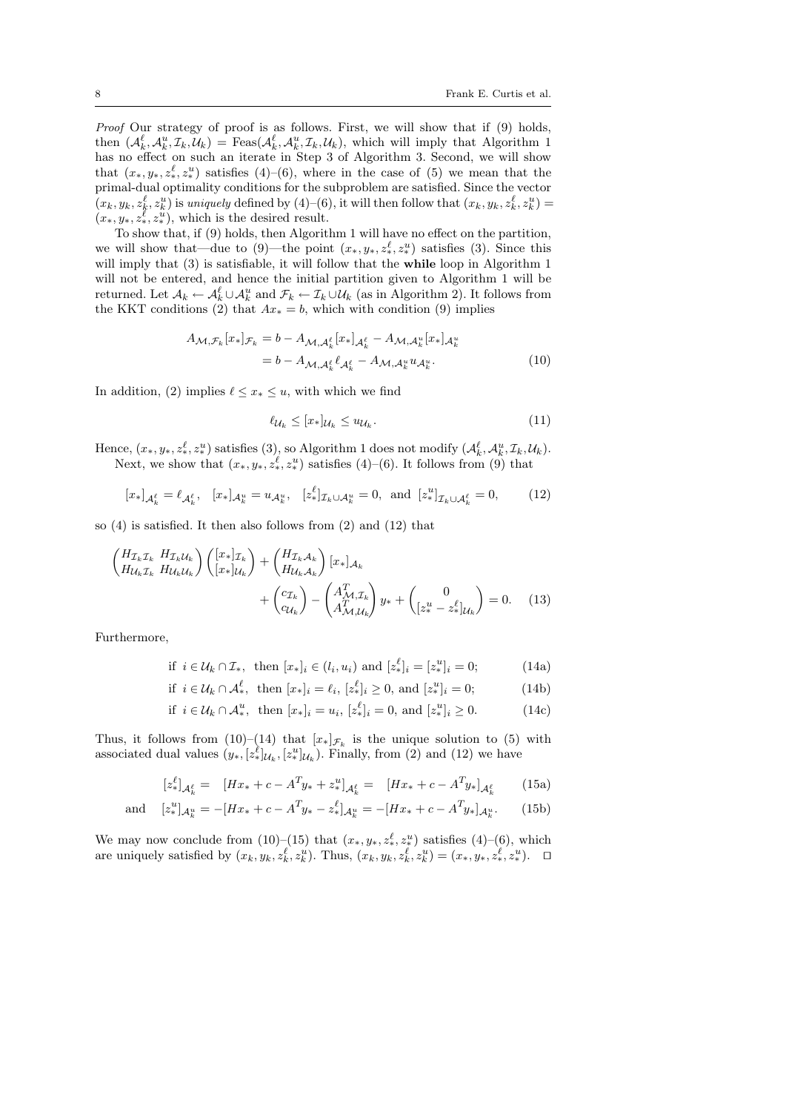Proof Our strategy of proof is as follows. First, we will show that if (9) holds, then  $(\mathcal{A}_k^{\ell}, \mathcal{A}_k^u, \mathcal{I}_k, \mathcal{U}_k) = \text{Feas}(\mathcal{A}_k^{\ell}, \mathcal{A}_k^u, \mathcal{I}_k, \mathcal{U}_k)$ , which will imply that Algorithm 1 has no effect on such an iterate in Step 3 of Algorithm 3. Second, we will show that  $(x_*, y_*, z_*^{\ell}, z_*^{\nu})$  satisfies  $(4)$ – $(6)$ , where in the case of  $(5)$  we mean that the primal-dual optimality conditions for the subproblem are satisfied. Since the vector  $(x_k, y_k, z_k^{\ell}, z_k^u)$  is uniquely defined by  $(4)$ – $(6)$ , it will then follow that  $(x_k, y_k, z_k^{\ell}, z_k^u)$  =  $(x_*, y_*, z_*^{\ell}, z_*^{\mu}),$  which is the desired result.

To show that, if (9) holds, then Algorithm 1 will have no effect on the partition, we will show that—due to (9)—the point  $(x_*, y_*, z_*^{\ell}, z_*^u)$  satisfies (3). Since this will imply that (3) is satisfiable, it will follow that the **while** loop in Algorithm 1 will not be entered, and hence the initial partition given to Algorithm 1 will be returned. Let  $A_k \leftarrow A_k^{\ell} \cup A_k^u$  and  $\mathcal{F}_k \leftarrow \mathcal{I}_k \cup \mathcal{U}_k$  (as in Algorithm 2). It follows from the KKT conditions (2) that  $Ax_* = b$ , which with condition (9) implies

$$
A_{\mathcal{M},\mathcal{F}_k}[x_*]_{\mathcal{F}_k} = b - A_{\mathcal{M},\mathcal{A}_k^{\ell}}[x_*]_{\mathcal{A}_k^{\ell}} - A_{\mathcal{M},\mathcal{A}_k^{\nu}}[x_*]_{\mathcal{A}_k^{\nu}}
$$
  
=  $b - A_{\mathcal{M},\mathcal{A}_k^{\ell}}\ell_{\mathcal{A}_k^{\ell}} - A_{\mathcal{M},\mathcal{A}_k^{\nu}}u_{\mathcal{A}_k^{\nu}}.$  (10)

In addition, (2) implies  $\ell \leq x_* \leq u$ , with which we find

$$
\ell_{\mathcal{U}_k} \le [x_*]_{\mathcal{U}_k} \le u_{\mathcal{U}_k}.\tag{11}
$$

Hence,  $(x_*, y_*, z_*^{\ell}, z_*^u)$  satisfies  $(3)$ , so Algorithm 1 does not modify  $(\mathcal{A}_k^{\ell}, \mathcal{A}_k^u, \mathcal{I}_k, \mathcal{U}_k)$ . Next, we show that  $(x_*, y_*, z_*^{\ell}, z_*^u)$  satisfies  $(4)$ – $(6)$ . It follows from  $(9)$  that

$$
[x_*]_{\mathcal{A}_k^{\ell}} = \ell_{\mathcal{A}_k^{\ell}}, \quad [x_*]_{\mathcal{A}_k^u} = u_{\mathcal{A}_k^u}, \quad [z_*^{\ell}]_{\mathcal{I}_k \cup \mathcal{A}_k^u} = 0, \text{ and } [z_*^u]_{\mathcal{I}_k \cup \mathcal{A}_k^{\ell}} = 0,
$$
 (12)

so (4) is satisfied. It then also follows from (2) and (12) that

$$
\begin{aligned}\n\left(\begin{matrix} H_{\mathcal{I}_{k}} \mathcal{I}_{k} & H_{\mathcal{I}_{k}} \mathcal{U}_{k} \\
H_{\mathcal{U}_{k}} \mathcal{I}_{k} & H_{\mathcal{U}_{k}} \end{matrix}\right) \left(\begin{matrix} [x_{*}]_{\mathcal{I}_{k}} \\
[x_{*}]_{\mathcal{U}_{k}} \end{matrix}\right) + \left(\begin{matrix} H_{\mathcal{I}_{k}} \mathcal{A}_{k} \\
H_{\mathcal{U}_{k}} \mathcal{A}_{k} \end{matrix}\right) [x_{*}]_{\mathcal{A}_{k}} \\
&\quad + \left(\begin{matrix} c_{\mathcal{I}_{k}} \\
 c_{\mathcal{U}_{k}} \end{matrix}\right) - \left(\begin{matrix} A_{\mathcal{M}, \mathcal{I}_{k}}^{T} \\
A_{\mathcal{M}, \mathcal{U}_{k}}^{T} \end{matrix}\right) y_{*} + \left(\begin{matrix} 0 \\
[z_{*}^{u} - z_{*}^{l}]\right]_{\mathcal{U}_{k}} \end{matrix}\right) = 0.\n\end{aligned} \tag{13}
$$

Furthermore,

if 
$$
i \in \mathcal{U}_k \cap \mathcal{I}_*
$$
, then  $[x_*]_i \in (l_i, u_i)$  and  $[z_*^{\ell}]_i = [z_*^u]_i = 0$ ; (14a)

$$
\text{if } i \in \mathcal{U}_k \cap \mathcal{A}_*^{\ell}, \text{ then } [x_*]_i = \ell_i, [z_*^{\ell}]_i \ge 0, \text{ and } [z_*^u]_i = 0; \tag{14b}
$$

$$
\text{if } i \in \mathcal{U}_k \cap \mathcal{A}_*^u, \text{ then } [x_*]_i = u_i, \ [z_*^\ell]_i = 0, \text{ and } [z_*^u]_i \ge 0. \tag{14c}
$$

Thus, it follows from (10)–(14) that  $[x_*]_{\mathcal{F}_k}$  is the unique solution to (5) with associated dual values  $(y_*, [z_*^{\ell}]_{\mathcal{U}_k}, [z_*^{\ell}]_{\mathcal{U}_k})$ . Finally, from (2) and (12) we have

$$
[z_{*}^{\ell}]_{\mathcal{A}_{k}^{\ell}} = [Hx_{*} + c - A^{T}y_{*} + z_{*}^{u}]_{\mathcal{A}_{k}^{\ell}} = [Hx_{*} + c - A^{T}y_{*}]_{\mathcal{A}_{k}^{\ell}}
$$
(15a)

and 
$$
[z_*^u]_{\mathcal{A}_k^u} = -[Hx_* + c - A^T y_* - z_*^\ell]_{\mathcal{A}_k^u} = -[Hx_* + c - A^T y_*]_{\mathcal{A}_k^u}.
$$
 (15b)

We may now conclude from  $(10)$ – $(15)$  that  $(x_*, y_*, z_*^{\ell}, z_*^{\nu})$  satisfies  $(4)$ – $(6)$ , which are uniquely satisfied by  $(x_k, y_k, z_k^{\ell}, z_k^u)$ . Thus,  $(x_k, y_k, z_k^{\ell}, z_k^u) = (x_*, y_*, z_*^{\ell}, z_*^u)$ .  $\Box$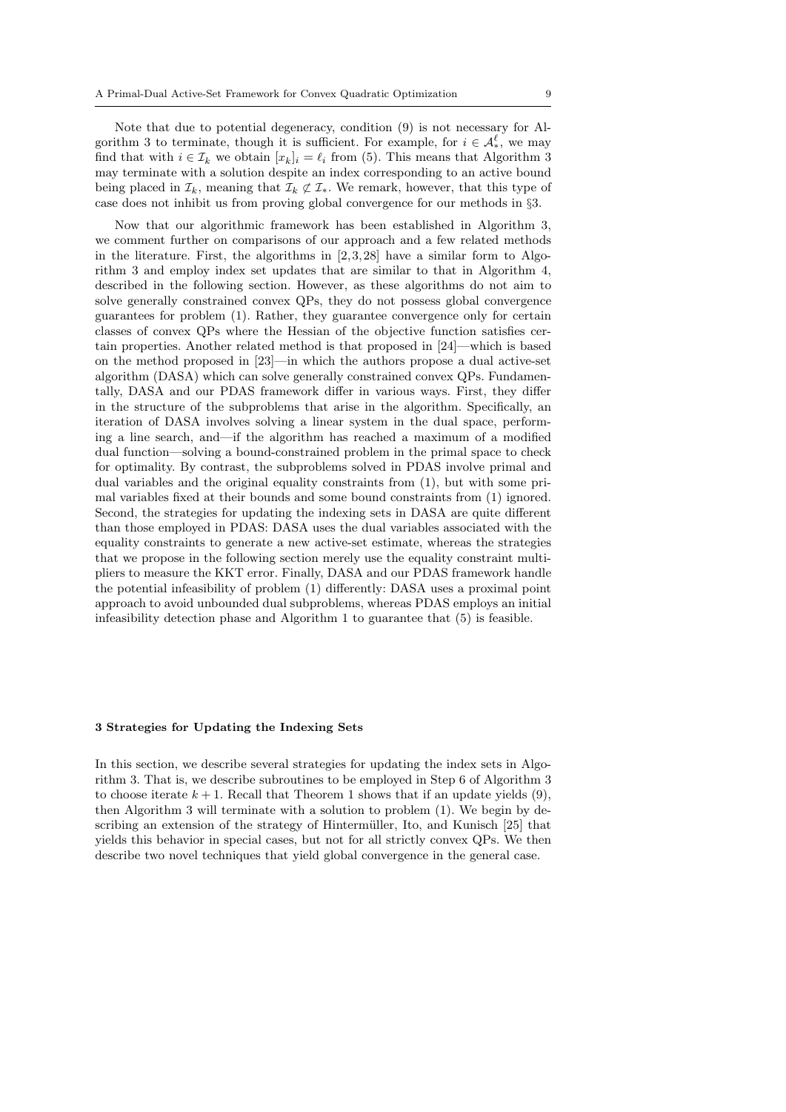Note that due to potential degeneracy, condition (9) is not necessary for Algorithm 3 to terminate, though it is sufficient. For example, for  $i \in \mathcal{A}_{*}^{\ell}$ , we may find that with  $i \in \mathcal{I}_k$  we obtain  $[x_k]_i = \ell_i$  from (5). This means that Algorithm 3 may terminate with a solution despite an index corresponding to an active bound being placed in  $\mathcal{I}_k$ , meaning that  $\mathcal{I}_k \not\subset \mathcal{I}_*$ . We remark, however, that this type of case does not inhibit us from proving global convergence for our methods in §3.

Now that our algorithmic framework has been established in Algorithm 3, we comment further on comparisons of our approach and a few related methods in the literature. First, the algorithms in  $[2, 3, 28]$  have a similar form to Algorithm 3 and employ index set updates that are similar to that in Algorithm 4, described in the following section. However, as these algorithms do not aim to solve generally constrained convex QPs, they do not possess global convergence guarantees for problem (1). Rather, they guarantee convergence only for certain classes of convex QPs where the Hessian of the objective function satisfies certain properties. Another related method is that proposed in [24]—which is based on the method proposed in [23]—in which the authors propose a dual active-set algorithm (DASA) which can solve generally constrained convex QPs. Fundamentally, DASA and our PDAS framework differ in various ways. First, they differ in the structure of the subproblems that arise in the algorithm. Specifically, an iteration of DASA involves solving a linear system in the dual space, performing a line search, and—if the algorithm has reached a maximum of a modified dual function—solving a bound-constrained problem in the primal space to check for optimality. By contrast, the subproblems solved in PDAS involve primal and dual variables and the original equality constraints from (1), but with some primal variables fixed at their bounds and some bound constraints from (1) ignored. Second, the strategies for updating the indexing sets in DASA are quite different than those employed in PDAS: DASA uses the dual variables associated with the equality constraints to generate a new active-set estimate, whereas the strategies that we propose in the following section merely use the equality constraint multipliers to measure the KKT error. Finally, DASA and our PDAS framework handle the potential infeasibility of problem (1) differently: DASA uses a proximal point approach to avoid unbounded dual subproblems, whereas PDAS employs an initial infeasibility detection phase and Algorithm 1 to guarantee that (5) is feasible.

#### 3 Strategies for Updating the Indexing Sets

In this section, we describe several strategies for updating the index sets in Algorithm 3. That is, we describe subroutines to be employed in Step 6 of Algorithm 3 to choose iterate  $k + 1$ . Recall that Theorem 1 shows that if an update yields (9), then Algorithm 3 will terminate with a solution to problem (1). We begin by describing an extension of the strategy of Hintermüller, Ito, and Kunisch [25] that yields this behavior in special cases, but not for all strictly convex QPs. We then describe two novel techniques that yield global convergence in the general case.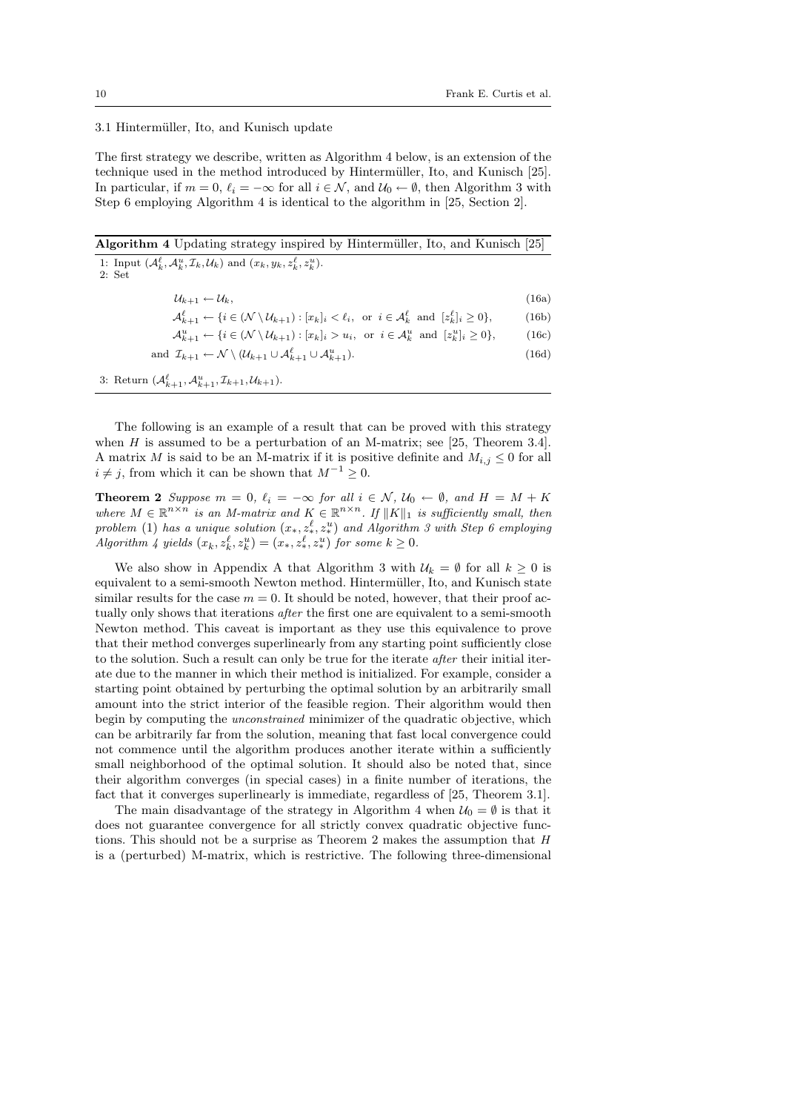$(16d)$ 

# 3.1 Hintermüller, Ito, and Kunisch update

The first strategy we describe, written as Algorithm 4 below, is an extension of the technique used in the method introduced by Hinterm¨uller, Ito, and Kunisch [25]. In particular, if  $m = 0$ ,  $\ell_i = -\infty$  for all  $i \in \mathcal{N}$ , and  $\mathcal{U}_0 \leftarrow \emptyset$ , then Algorithm 3 with Step 6 employing Algorithm 4 is identical to the algorithm in [25, Section 2].

Algorithm 4 Updating strategy inspired by Hintermüller, Ito, and Kunisch [25]

1: Input  $(\mathcal{A}_k^{\ell}, \mathcal{A}_k^u, \mathcal{I}_k, \mathcal{U}_k)$  and  $(x_k, y_k, z_k^{\ell}, z_k^u)$ . 2: Set

| $\mathcal{U}_{k+1} \leftarrow \mathcal{U}_k,$ | (16a) |
|-----------------------------------------------|-------|
|-----------------------------------------------|-------|

- $\mathcal{A}_{k+1}^{\ell} \leftarrow \{i \in (\mathcal{N} \setminus \mathcal{U}_{k+1}) : [x_k]_i < \ell_i, \text{ or } i \in \mathcal{A}_k^{\ell} \text{ and } [z_k^{\ell}]_i \geq 0\},$  (16b)
- $\mathcal{A}_{k+1}^u \leftarrow \{i \in (\mathcal{N} \setminus \mathcal{U}_{k+1}) : [x_k]_i > u_i, \text{ or } i \in \mathcal{A}_k^u \text{ and } [z_k^u]_i \geq 0\},$  (16c)
- and  $\mathcal{I}_{k+1} \leftarrow \mathcal{N} \setminus (\mathcal{U}_{k+1} \cup \mathcal{A}_{k+1}^{\ell} \cup \mathcal{A}_{k}^{u})$

3: Return  $(\mathcal{A}_{k+1}^{\ell}, \mathcal{A}_{k+1}^{u}, \mathcal{I}_{k+1}, \mathcal{U}_{k+1}).$ 

The following is an example of a result that can be proved with this strategy when  $H$  is assumed to be a perturbation of an M-matrix; see [25, Theorem 3.4]. A matrix M is said to be an M-matrix if it is positive definite and  $M_{i,j} \leq 0$  for all  $i \neq j$ , from which it can be shown that  $M^{-1} > 0$ .

**Theorem 2** Suppose  $m = 0$ ,  $\ell_i = -\infty$  for all  $i \in \mathcal{N}$ ,  $\mathcal{U}_0 \leftarrow \emptyset$ , and  $H = M + K$ where  $M \in \mathbb{R}^{n \times n}$  is an M-matrix and  $K \in \mathbb{R}^{n \times n}$ . If  $||K||_1$  is sufficiently small, then problem (1) has a unique solution  $(x_*, z_*^{\ell}, z_*^u)$  and Algorithm 3 with Step 6 employing Algorithm 4 yields  $(x_k, z_k^{\ell}, z_k^u) = (x_*, z_*^{\ell}, z_*^u)$  for some  $k \geq 0$ .

We also show in Appendix A that Algorithm 3 with  $\mathcal{U}_k = \emptyset$  for all  $k \geq 0$  is equivalent to a semi-smooth Newton method. Hintermüller, Ito, and Kunisch state similar results for the case  $m = 0$ . It should be noted, however, that their proof actually only shows that iterations after the first one are equivalent to a semi-smooth Newton method. This caveat is important as they use this equivalence to prove that their method converges superlinearly from any starting point sufficiently close to the solution. Such a result can only be true for the iterate after their initial iterate due to the manner in which their method is initialized. For example, consider a starting point obtained by perturbing the optimal solution by an arbitrarily small amount into the strict interior of the feasible region. Their algorithm would then begin by computing the *unconstrained* minimizer of the quadratic objective, which can be arbitrarily far from the solution, meaning that fast local convergence could not commence until the algorithm produces another iterate within a sufficiently small neighborhood of the optimal solution. It should also be noted that, since their algorithm converges (in special cases) in a finite number of iterations, the fact that it converges superlinearly is immediate, regardless of [25, Theorem 3.1].

The main disadvantage of the strategy in Algorithm 4 when  $U_0 = \emptyset$  is that it does not guarantee convergence for all strictly convex quadratic objective functions. This should not be a surprise as Theorem 2 makes the assumption that H is a (perturbed) M-matrix, which is restrictive. The following three-dimensional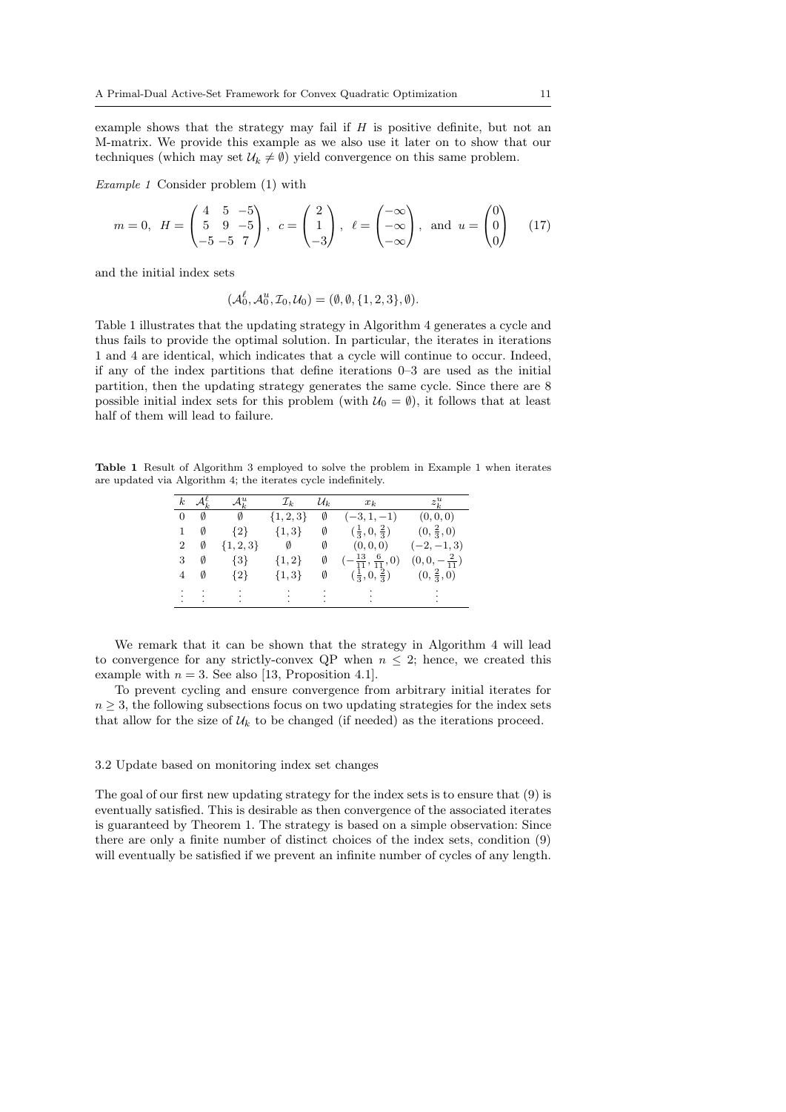example shows that the strategy may fail if  $H$  is positive definite, but not an M-matrix. We provide this example as we also use it later on to show that our techniques (which may set  $\mathcal{U}_k \neq \emptyset$ ) yield convergence on this same problem.

Example 1 Consider problem (1) with

$$
m = 0
$$
,  $H = \begin{pmatrix} 4 & 5 & -5 \\ 5 & 9 & -5 \\ -5 & -5 & 7 \end{pmatrix}$ ,  $c = \begin{pmatrix} 2 \\ 1 \\ -3 \end{pmatrix}$ ,  $\ell = \begin{pmatrix} -\infty \\ -\infty \\ -\infty \end{pmatrix}$ , and  $u = \begin{pmatrix} 0 \\ 0 \\ 0 \end{pmatrix}$  (17)

and the initial index sets

$$
(\mathcal{A}_0^{\ell}, \mathcal{A}_0^u, \mathcal{I}_0, \mathcal{U}_0) = (\emptyset, \emptyset, \{1, 2, 3\}, \emptyset).
$$

Table 1 illustrates that the updating strategy in Algorithm 4 generates a cycle and thus fails to provide the optimal solution. In particular, the iterates in iterations 1 and 4 are identical, which indicates that a cycle will continue to occur. Indeed, if any of the index partitions that define iterations 0–3 are used as the initial partition, then the updating strategy generates the same cycle. Since there are 8 possible initial index sets for this problem (with  $U_0 = \emptyset$ ), it follows that at least half of them will lead to failure.

Table 1 Result of Algorithm 3 employed to solve the problem in Example 1 when iterates are updated via Algorithm 4; the iterates cycle indefinitely.

|                | k $\mathcal{A}_k^{\ell}$                                            | $\mathcal{A}^u_k$                   | ${\cal I}_k$  | $\mathcal{U}_k$ | $x_k$                                             | $z_k^u$               |
|----------------|---------------------------------------------------------------------|-------------------------------------|---------------|-----------------|---------------------------------------------------|-----------------------|
| $\overline{0}$ | Ø                                                                   | $\emptyset$                         | $\{1, 2, 3\}$ | Ø               | $(-3, 1, -1)$                                     | (0, 0, 0)             |
|                | Ø                                                                   | ${2}$                               | $\{1,3\}$     | Ø               | $(\frac{1}{3},0,\frac{2}{3})$                     | $(0, \frac{2}{3}, 0)$ |
| 2              | Ø                                                                   | ${1, 2, 3}$                         | $\emptyset$   | Ø               | (0,0,0)                                           | $(-2,-1,3)$           |
| 3              | Ø                                                                   | $\{3\}$                             | $\{1,2\}$     | Ø               | $\left(-\frac{13}{11}, \frac{6}{11}, 0\right)$    | $(0,0,-\frac{2}{11})$ |
| 4              | Ø                                                                   | $\{2\}$                             | $\{1,3\}$     | Ø               | $(\frac{1}{3},0,\frac{2}{3})$ $(0,\frac{2}{3},0)$ |                       |
|                | <b>Contract Contract</b><br>$\bullet$ . The second second $\bullet$ | $\sim 10^{11}$ km $^{-1}$<br>$\sim$ | $\sim 100$    | $\sim 100$      | しょうしょう しゅうしょ<br>$\sim$                            | $\cdot$<br>$\bullet$  |

We remark that it can be shown that the strategy in Algorithm 4 will lead to convergence for any strictly-convex QP when  $n \leq 2$ ; hence, we created this example with  $n = 3$ . See also [13, Proposition 4.1].

To prevent cycling and ensure convergence from arbitrary initial iterates for  $n \geq 3$ , the following subsections focus on two updating strategies for the index sets that allow for the size of  $\mathcal{U}_k$  to be changed (if needed) as the iterations proceed.

#### 3.2 Update based on monitoring index set changes

The goal of our first new updating strategy for the index sets is to ensure that (9) is eventually satisfied. This is desirable as then convergence of the associated iterates is guaranteed by Theorem 1. The strategy is based on a simple observation: Since there are only a finite number of distinct choices of the index sets, condition (9) will eventually be satisfied if we prevent an infinite number of cycles of any length.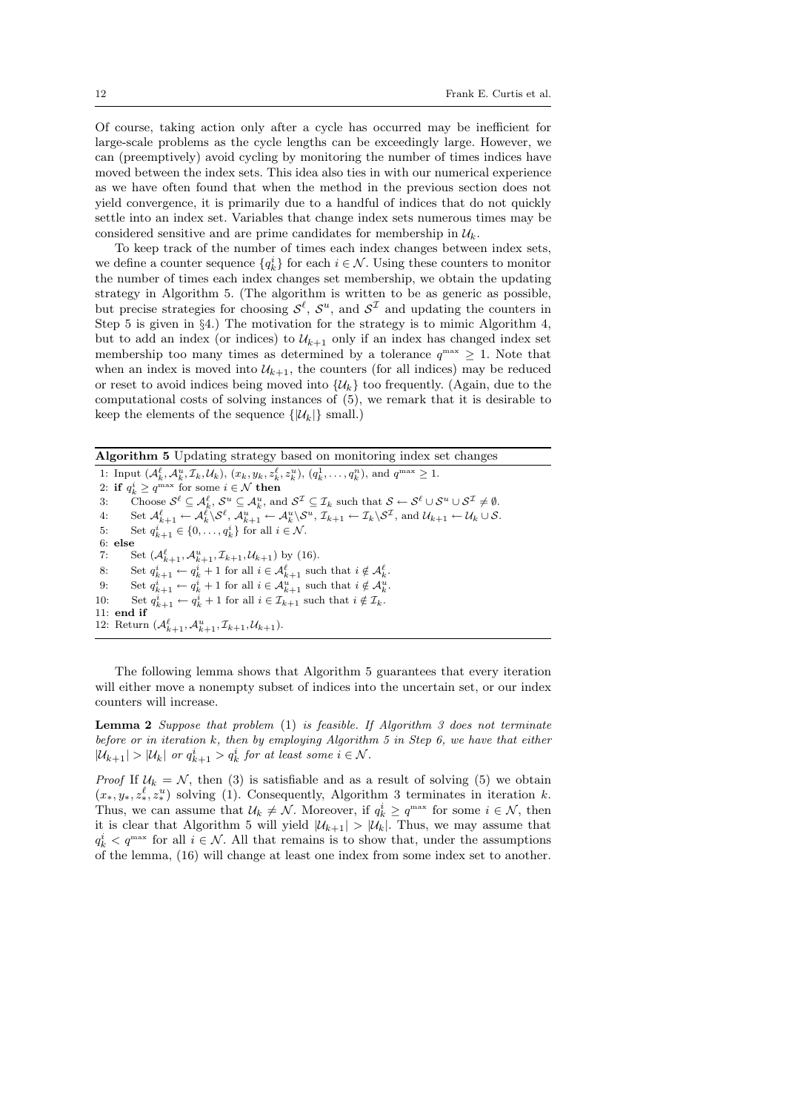Of course, taking action only after a cycle has occurred may be inefficient for large-scale problems as the cycle lengths can be exceedingly large. However, we can (preemptively) avoid cycling by monitoring the number of times indices have moved between the index sets. This idea also ties in with our numerical experience as we have often found that when the method in the previous section does not yield convergence, it is primarily due to a handful of indices that do not quickly settle into an index set. Variables that change index sets numerous times may be considered sensitive and are prime candidates for membership in  $\mathcal{U}_k$ .

To keep track of the number of times each index changes between index sets, we define a counter sequence  $\{q_k^i\}$  for each  $i \in \mathcal{N}$ . Using these counters to monitor the number of times each index changes set membership, we obtain the updating strategy in Algorithm 5. (The algorithm is written to be as generic as possible, but precise strategies for choosing  $\mathcal{S}^{\ell}$ ,  $\mathcal{S}^{u}$ , and  $\mathcal{S}^{\mathcal{I}}$  and updating the counters in Step 5 is given in §4.) The motivation for the strategy is to mimic Algorithm 4, but to add an index (or indices) to  $U_{k+1}$  only if an index has changed index set membership too many times as determined by a tolerance  $q^{\max} \geq 1$ . Note that when an index is moved into  $\mathcal{U}_{k+1}$ , the counters (for all indices) may be reduced or reset to avoid indices being moved into  $\{\mathcal{U}_k\}$  too frequently. (Again, due to the computational costs of solving instances of (5), we remark that it is desirable to keep the elements of the sequence  $\{|\mathcal{U}_k|\}$  small.)

Algorithm 5 Updating strategy based on monitoring index set changes

1: Input  $(\mathcal{A}_{k}^{\ell}, \mathcal{A}_{k}^{u}, \mathcal{I}_{k}, \mathcal{U}_{k}), (x_{k}, y_{k}, z_{k}^{\ell}, z_{k}^{u}), (q_{k}^{1}, \ldots, q_{k}^{n}),$  and  $q^{\max} \geq 1$ . 2: if  $q_k^i \ge q^{\max}$  for some  $i \in \mathcal{N}$  then 3: Choose  $\mathcal{S}^{\ell} \subseteq \mathcal{A}_{k}^{\ell}$ ,  $\mathcal{S}^{u} \subseteq \mathcal{A}_{k}^{u}$ , and  $\mathcal{S}^{\mathcal{I}} \subseteq \mathcal{I}_{k}$  such that  $\mathcal{S} \leftarrow \mathcal{S}^{\ell} \cup \mathcal{S}^{u} \cup \mathcal{S}^{\mathcal{I}} \neq \emptyset$ . 4: Set  $\mathcal{A}_{k+1}^{\ell} \leftarrow \mathcal{A}_{k}^{\ell} \setminus \mathcal{S}^{\ell}, \, \mathcal{A}_{k+1}^{u} \leftarrow \mathcal{A}_{k}^{u} \setminus \mathcal{S}^{u}, \, \mathcal{I}_{k+1} \leftarrow \mathcal{I}_{k} \setminus \mathcal{S}^{\mathcal{I}}, \, \text{and} \, \mathcal{U}_{k+1} \leftarrow \mathcal{U}_{k} \cup \mathcal{S}.$ 5: Set  $q_{k+1}^i \in \{0, \ldots, q_k^i\}$  for all  $i \in \mathcal{N}$ . 6: else<br>7:  $\begin{bmatrix} 6 \\ 2 \end{bmatrix}$ 7: Set  $(\mathcal{A}_{k+1}^{\ell}, \mathcal{A}_{k+1}^u, \mathcal{I}_{k+1}, \mathcal{U}_{k+1})$  by (16). 8: Set  $q_{k+1}^i \leftarrow q_k^i + 1$  for all  $i \in \mathcal{A}_{k+1}^{\ell}$  such that  $i \notin \mathcal{A}_k^{\ell}$ . 9: Set  $q_{k+1}^i \leftarrow q_k^i + 1$  for all  $i \in \mathcal{A}_{k+1}^u$  such that  $i \notin \mathcal{A}_k^u$ . 10: Set  $q_{k+1}^i \leftarrow q_k^i + 1$  for all  $i \in \mathcal{I}_{k+1}$  such that  $i \notin \mathcal{I}_k$ . 11: end if 12: Return  $(\mathcal{A}_{k+1}^{\ell}, \mathcal{A}_{k+1}^{u}, \mathcal{I}_{k+1}, \mathcal{U}_{k+1}).$ 

The following lemma shows that Algorithm 5 guarantees that every iteration will either move a nonempty subset of indices into the uncertain set, or our index counters will increase.

**Lemma 2** Suppose that problem  $(1)$  is feasible. If Algorithm 3 does not terminate before or in iteration k, then by employing Algorithm 5 in Step 6, we have that either  $|\mathcal{U}_{k+1}| > |\mathcal{U}_{k}|$  or  $q_{k+1}^{i} > q_{k}^{i}$  for at least some  $i \in \mathcal{N}$ .

*Proof* If  $U_k = N$ , then (3) is satisfiable and as a result of solving (5) we obtain  $(x*, y*, z_*^{\ell}, z_*^u)$  solving (1). Consequently, Algorithm 3 terminates in iteration k. Thus, we can assume that  $\mathcal{U}_k \neq \mathcal{N}$ . Moreover, if  $q_k^i \geq q^{\max}$  for some  $i \in \mathcal{N}$ , then it is clear that Algorithm 5 will yield  $|\mathcal{U}_{k+1}| > |\mathcal{U}_k|$ . Thus, we may assume that  $q_k^i$   $\lt q^{\max}$  for all  $i \in \mathcal{N}$ . All that remains is to show that, under the assumptions of the lemma, (16) will change at least one index from some index set to another.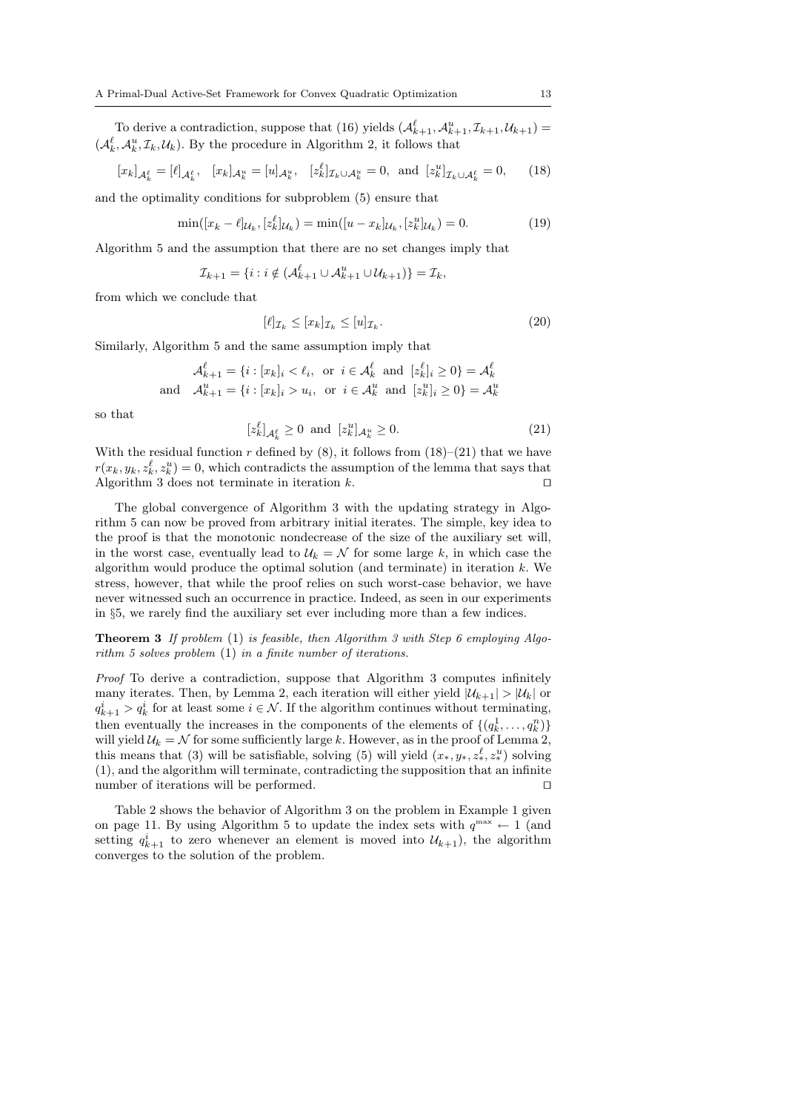To derive a contradiction, suppose that (16) yields  $(\mathcal{A}_{k+1}^{\ell}, \mathcal{A}_{k+1}^u, \mathcal{I}_{k+1}, \mathcal{U}_{k+1}) =$  $(\mathcal{A}_{k}^{\ell}, \mathcal{A}_{k}^{u}, \mathcal{I}_{k}, \mathcal{U}_{k})$ . By the procedure in Algorithm 2, it follows that

$$
[x_k]_{\mathcal{A}_k^{\ell}} = [\ell]_{\mathcal{A}_k^{\ell}}, \quad [x_k]_{\mathcal{A}_k^u} = [u]_{\mathcal{A}_k^u}, \quad [z_k^{\ell}]_{\mathcal{I}_k \cup \mathcal{A}_k^u} = 0, \quad \text{and} \quad [z_k^u]_{\mathcal{I}_k \cup \mathcal{A}_k^{\ell}} = 0,\tag{18}
$$

and the optimality conditions for subproblem (5) ensure that

$$
\min([x_k - \ell]_{\mathcal{U}_k}, [z_k^{\ell}]_{\mathcal{U}_k}) = \min([u - x_k]_{\mathcal{U}_k}, [z_k^u]_{\mathcal{U}_k}) = 0. \tag{19}
$$

Algorithm 5 and the assumption that there are no set changes imply that

$$
\mathcal{I}_{k+1} = \{i : i \notin (\mathcal{A}_{k+1}^{\ell} \cup \mathcal{A}_{k+1}^{u} \cup \mathcal{U}_{k+1})\} = \mathcal{I}_k,
$$

from which we conclude that

$$
[\ell]_{\mathcal{I}_k} \le [x_k]_{\mathcal{I}_k} \le [u]_{\mathcal{I}_k}.\tag{20}
$$

Similarly, Algorithm 5 and the same assumption imply that

$$
\mathcal{A}_{k+1}^{\ell} = \{i : [x_k]_i < \ell_i, \text{ or } i \in \mathcal{A}_k^{\ell} \text{ and } [z_k^{\ell}]_i \ge 0\} = \mathcal{A}_k^{\ell}
$$
  
and 
$$
\mathcal{A}_{k+1}^u = \{i : [x_k]_i > u_i, \text{ or } i \in \mathcal{A}_k^u \text{ and } [z_k^{\ell}]_i \ge 0\} = \mathcal{A}_k^u
$$

so that

$$
[z_k^{\ell}]_{\mathcal{A}_k^{\ell}} \ge 0 \quad \text{and} \quad [z_k^u]_{\mathcal{A}_k^u} \ge 0. \tag{21}
$$

With the residual function r defined by  $(8)$ , it follows from  $(18)$ – $(21)$  that we have  $r(x_k, y_k, z_k^{\ell}, z_k^u) = 0$ , which contradicts the assumption of the lemma that says that Algorithm 3 does not terminate in iteration  $k$ .

The global convergence of Algorithm 3 with the updating strategy in Algorithm 5 can now be proved from arbitrary initial iterates. The simple, key idea to the proof is that the monotonic nondecrease of the size of the auxiliary set will, in the worst case, eventually lead to  $\mathcal{U}_k = \mathcal{N}$  for some large k, in which case the algorithm would produce the optimal solution (and terminate) in iteration k. We stress, however, that while the proof relies on such worst-case behavior, we have never witnessed such an occurrence in practice. Indeed, as seen in our experiments in §5, we rarely find the auxiliary set ever including more than a few indices.

**Theorem 3** If problem  $(1)$  is feasible, then Algorithm 3 with Step 6 employing Algorithm 5 solves problem (1) in a finite number of iterations.

Proof To derive a contradiction, suppose that Algorithm 3 computes infinitely many iterates. Then, by Lemma 2, each iteration will either yield  $|\mathcal{U}_{k+1}| > |\mathcal{U}_k|$  or  $q_{k+1}^i > q_k^i$  for at least some  $i \in \mathcal{N}$ . If the algorithm continues without terminating, then eventually the increases in the components of the elements of  $\{(q_k^1, \ldots, q_k^n)\}$ will yield  $U_k = N$  for some sufficiently large k. However, as in the proof of Lemma 2, this means that (3) will be satisfiable, solving (5) will yield  $(x_*, y_*, z_*^{\ell}, z_*^u)$  solving (1), and the algorithm will terminate, contradicting the supposition that an infinite number of iterations will be performed.

Table 2 shows the behavior of Algorithm 3 on the problem in Example 1 given on page 11. By using Algorithm 5 to update the index sets with  $q^{\max} \leftarrow 1$  (and setting  $q_{k+1}^i$  to zero whenever an element is moved into  $\mathcal{U}_{k+1}$ , the algorithm converges to the solution of the problem.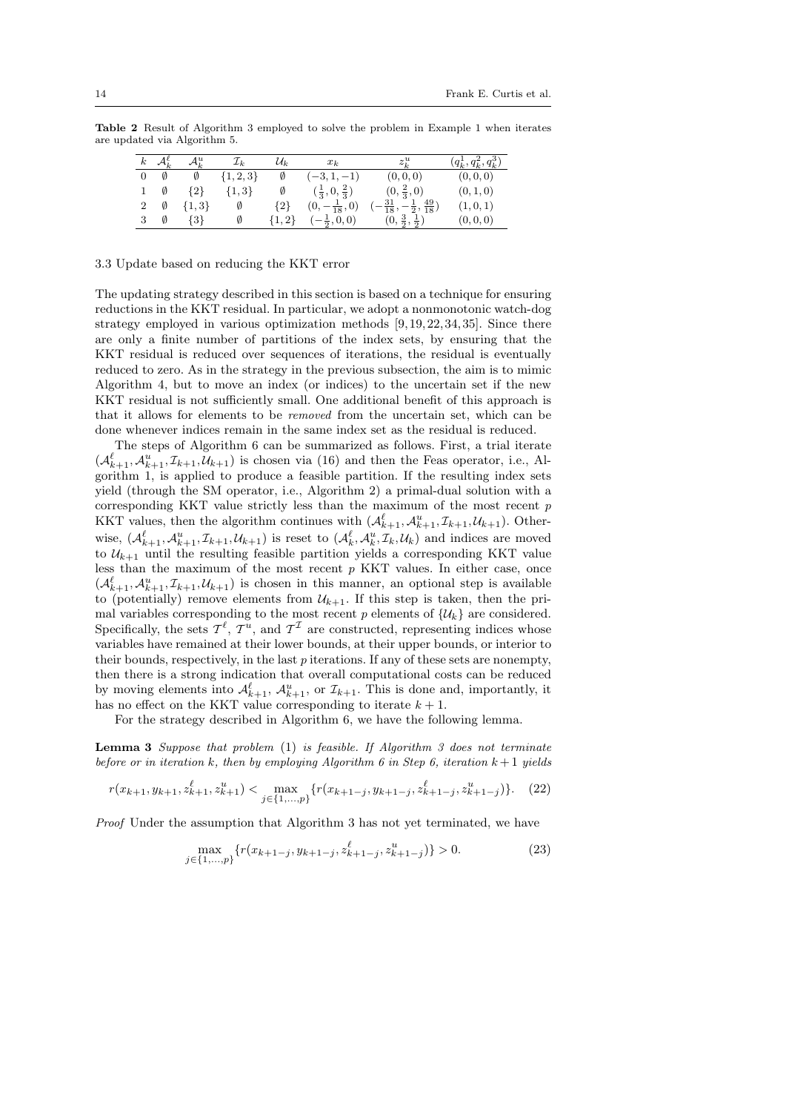Table 2 Result of Algorithm 3 employed to solve the problem in Example 1 when iterates are updated via Algorithm 5.

| $_{k}$ |   | $\mathcal{A}_k^u$ | $\mathcal{L}_k$ | $\mathcal{U}_k$ | $x_k$                           | $z_k^u$                                                    | $(q_{k}^{1}, q_{k}^{2}, q_{k}^{3})$ |
|--------|---|-------------------|-----------------|-----------------|---------------------------------|------------------------------------------------------------|-------------------------------------|
|        | Ø | Ø                 | $\{1, 2, 3\}$   | Ø               | $(-3, 1, -1)$                   | (0,0,0)                                                    | (0,0,0)                             |
|        | Ø | $\{2\}$           | $\{1,3\}$       | Ø               | $(\frac{1}{3},0,\frac{2}{3})$   | $(0, \frac{2}{3}, 0)$                                      | (0, 1, 0)                           |
|        | Ø | $\{1,3\}$         | Ø               | ${2}$           | $(0, -\frac{1}{18}, 0)$         | $\left(-\frac{31}{18}, -\frac{1}{2}, \frac{49}{18}\right)$ | (1,0,1)                             |
| 3      | Ø | $\{3\}$           | Ø               | $\{1,2\}$       | $\left(-\frac{1}{2},0,0\right)$ | $(0, \frac{3}{2}, \frac{1}{2})$                            | (0, 0, 0)                           |

#### 3.3 Update based on reducing the KKT error

The updating strategy described in this section is based on a technique for ensuring reductions in the KKT residual. In particular, we adopt a nonmonotonic watch-dog strategy employed in various optimization methods [9,19, 22, 34, 35]. Since there are only a finite number of partitions of the index sets, by ensuring that the KKT residual is reduced over sequences of iterations, the residual is eventually reduced to zero. As in the strategy in the previous subsection, the aim is to mimic Algorithm 4, but to move an index (or indices) to the uncertain set if the new KKT residual is not sufficiently small. One additional benefit of this approach is that it allows for elements to be removed from the uncertain set, which can be done whenever indices remain in the same index set as the residual is reduced.

The steps of Algorithm 6 can be summarized as follows. First, a trial iterate  $(\mathcal{A}_{k+1}^{\ell}, \mathcal{A}_{k+1}^u, \mathcal{I}_{k+1}, \mathcal{U}_{k+1})$  is chosen via (16) and then the Feas operator, i.e., Algorithm 1, is applied to produce a feasible partition. If the resulting index sets yield (through the SM operator, i.e., Algorithm 2) a primal-dual solution with a corresponding KKT value strictly less than the maximum of the most recent  $p$ KKT values, then the algorithm continues with  $(\mathcal{A}_{k+1}^{\ell}, \mathcal{A}_{k+1}^u, \mathcal{I}_{k+1}, \mathcal{U}_{k+1})$ . Otherwise,  $(\mathcal{A}_{k+1}^{\ell}, \mathcal{A}_{k+1}^u, \mathcal{I}_{k+1}, \mathcal{U}_{k+1})$  is reset to  $(\mathcal{A}_k^{\ell}, \mathcal{A}_k^u, \mathcal{I}_k, \mathcal{U}_k)$  and indices are moved to  $\mathcal{U}_{k+1}$  until the resulting feasible partition yields a corresponding KKT value less than the maximum of the most recent  $p$  KKT values. In either case, once  $(\mathcal{A}_{k+1}^{\ell}, \mathcal{A}_{k+1}^u, \mathcal{I}_{k+1}, \mathcal{U}_{k+1})$  is chosen in this manner, an optional step is available to (potentially) remove elements from  $\mathcal{U}_{k+1}$ . If this step is taken, then the primal variables corresponding to the most recent p elements of  $\{\mathcal{U}_k\}$  are considered. Specifically, the sets  $\mathcal{T}^{\ell}$ ,  $\mathcal{T}^{u}$ , and  $\mathcal{T}^{\mathcal{I}}$  are constructed, representing indices whose variables have remained at their lower bounds, at their upper bounds, or interior to their bounds, respectively, in the last  $p$  iterations. If any of these sets are nonempty, then there is a strong indication that overall computational costs can be reduced by moving elements into  $\mathcal{A}_{k+1}^{\ell}$ ,  $\mathcal{A}_{k+1}^{u}$ , or  $\mathcal{I}_{k+1}$ . This is done and, importantly, it has no effect on the KKT value corresponding to iterate  $k + 1$ .

For the strategy described in Algorithm 6, we have the following lemma.

**Lemma 3** Suppose that problem  $(1)$  is feasible. If Algorithm 3 does not terminate before or in iteration k, then by employing Algorithm 6 in Step 6, iteration  $k+1$  yields

$$
r(x_{k+1}, y_{k+1}, z_{k+1}^{\ell}, z_{k+1}^{u}) < \max_{j \in \{1, \dots, p\}} \{r(x_{k+1-j}, y_{k+1-j}, z_{k+1-j}^{\ell}, z_{k+1-j}^{u})\}.\tag{22}
$$

Proof Under the assumption that Algorithm 3 has not yet terminated, we have

$$
\max_{j \in \{1, \ldots, p\}} \{r(x_{k+1-j}, y_{k+1-j}, z_{k+1-j}^{\ell}, z_{k+1-j}^{u})\} > 0. \tag{23}
$$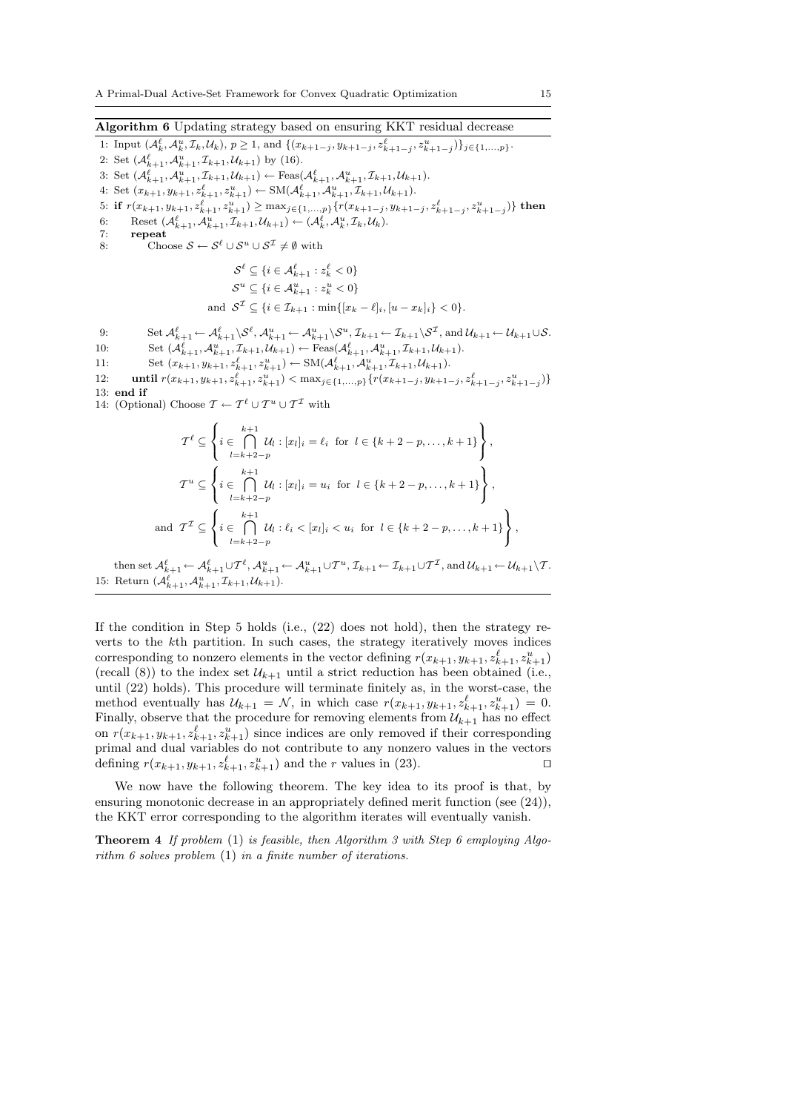Algorithm 6 Updating strategy based on ensuring KKT residual decrease

1: Input  $(\mathcal{A}_{k}^{\ell}, \mathcal{A}_{k}^{u}, \mathcal{I}_{k}, \mathcal{U}_{k}), p \geq 1$ , and  $\{(x_{k+1-j}, y_{k+1-j}, z_{k+1-j}^{\ell}, z_{k+1-j}^{u})\}_{j \in \{1, ..., p\}}$ . 2: Set  $(\mathcal{A}_{k+1}^{\ell}, \mathcal{A}_{k+1}^{u}, \mathcal{I}_{k+1}, \mathcal{U}_{k+1})$  by (16). 3: Set  $(\mathcal{A}_{k+1}^{\ell}, \mathcal{A}_{k+1}^u, \mathcal{I}_{k+1}, \mathcal{U}_{k+1}) \leftarrow \text{Feas}(\mathcal{A}_{k+1}^{\ell}, \mathcal{A}_{k+1}^u, \mathcal{I}_{k+1}, \mathcal{U}_{k+1}).$ 4: Set  $(x_{k+1}, y_{k+1}, z_{k+1}^{\ell}, z_{k+1}^u) \leftarrow SM(\mathcal{A}_{k+1}^{\ell}, \mathcal{A}_{k+1}^u, \mathcal{I}_{k+1}, \mathcal{U}_{k+1}).$  $5: \text{ if } r(x_{k+1}, y_{k+1}, z_{k+1}^{\ell}, z_{k+1}^u) \geq \max_{j \in \{1, ..., p\}} \{r(x_{k+1-j}, y_{k+1-j}, z_{k+1-j}^{\ell}, z_{k+1-j}^u)\} \text{ then }$ 6: Reset  $(\mathcal{A}_{k+1}^{\ell}, \mathcal{A}_{k+1}^u, \mathcal{I}_{k+1}, \mathcal{U}_{k+1}) \leftarrow (\mathcal{A}_{k}^{\ell}, \mathcal{A}_{k}^u, \mathcal{I}_{k}, \mathcal{U}_{k}).$ 7: repeat 8: Choose  $S \leftarrow S^{\ell} \cup S^u \cup S^{\mathcal{I}} \neq \emptyset$  with  $\mathcal{S}^{\ell} \subseteq \{i \in \mathcal{A}_{k+1}^{\ell}: z_{k}^{\ell} < 0\}$  $\mathcal{S}^u \subseteq \{i \in \mathcal{A}_{k+1}^u : z_k^u < 0\}$ and  $S^{\mathcal{I}} \subseteq \{i \in \mathcal{I}_{k+1} : \min\{[x_k - \ell]_i, [u - x_k]_i\} < 0\}.$ 9: Set  $\mathcal{A}^{\ell}_{k+1} \leftarrow \mathcal{A}^{\ell}_{k+1}\setminus\mathcal{S}^{\ell}, \mathcal{A}^{u}_{k+1} \leftarrow \mathcal{A}^{u}_{k+1}\setminus\mathcal{S}^{u}, \mathcal{I}_{k+1} \leftarrow \mathcal{I}_{k+1}\setminus\mathcal{S}^{\mathcal{I}},$  and  $\mathcal{U}_{k+1} \leftarrow \mathcal{U}_{k+1}\cup\mathcal{S}$ . 10: Set  $(\mathcal{A}_{k+1}^{\ell}, \mathcal{A}_{k+1}^u, \mathcal{I}_{k+1}, \mathcal{U}_{k+1}) \leftarrow \text{Feas}(\mathcal{A}_{k+1}^{\ell}, \mathcal{A}_{k+1}^u, \mathcal{I}_{k+1}, \mathcal{U}_{k+1}).$ 11: Set  $(x_{k+1}, y_{k+1}, z_{k+1}^{\ell}, z_{k+1}^{u}) \leftarrow SM(\mathcal{A}_{k+1}^{\ell}, \mathcal{A}_{k+1}^{u}, \mathcal{I}_{k+1}, \mathcal{U}_{k+1}).$ 12: **until**  $r(x_{k+1}, y_{k+1}, z_{k+1}^{\ell}, z_{k+1}^u) < \max_{j \in \{1, ..., p\}} \{r(x_{k+1-j}, y_{k+1-j}, z_{k+1-j}^{\ell}, z_{k+1-j}^u)\}$ 13: end if 14: (Optional) Choose  $\mathcal{T} \leftarrow \mathcal{T}^{\ell} \cup \mathcal{T}^{\mathcal{I}} \cup \mathcal{T}^{\mathcal{I}}$  with  $\mathcal{T}^\ell \subseteq$  $\int$  $\mathbf{I}$ i ∈  $\bigcap^{k+1}$  $l=k+2-p$  $\mathcal{U}_l : [x_l]_i = \ell_i \text{ for } l \in \{k+2-p,\ldots,k+1\}$  $\overline{\mathcal{L}}$  $\left| \right|$ ,  $T^u \subseteq$  $\int$  $\mathcal{L}$ i ∈  $\bigcap^{k+1}$  $l=k+2-p$  $\mathcal{U}_l : [x_l]_i = u_i \text{ for } l \in \{k+2-p,\ldots,k+1\}$  $\mathfrak{g}$  $\left| \right|$ ,  $\int$  $\bigcap^{k+1}$  $\mathcal{L}$ 

then set  $\mathcal{A}_{k+1}^{\ell} \leftarrow \mathcal{A}_{k+1}^{\ell} \cup \mathcal{T}^{\ell}, \mathcal{A}_{k+1}^u \leftarrow \mathcal{A}_{k+1}^u \cup \mathcal{T}^u, \mathcal{I}_{k+1} \leftarrow \mathcal{I}_{k+1} \cup \mathcal{T}^{\mathcal{I}}, \text{ and } \mathcal{U}_{k+1} \leftarrow \mathcal{U}_{k+1}\setminus \mathcal{T}.$ 15: Return  $(\mathcal{A}_{k+1}^{\ell}, \mathcal{A}_{k+1}^{u}, \mathcal{I}_{k+1}, \mathcal{U}_{k+1}).$ 

 $\mathcal{U}_l : \ell_i < [x_l]_i < u_i \text{ for } l \in \{k+2-p,\ldots,k+1\}$ 

and  $\mathcal{T}^{\mathcal{I}} \subseteq$ 

 $\mathbf{I}$ i ∈

 $l=k+2-p$ 

If the condition in Step 5 holds (i.e., (22) does not hold), then the strategy reverts to the kth partition. In such cases, the strategy iteratively moves indices corresponding to nonzero elements in the vector defining  $r(x_{k+1}, y_{k+1}, z_{k+1}^{\ell}, z_{k+1}^{u})$ (recall (8)) to the index set  $\mathcal{U}_{k+1}$  until a strict reduction has been obtained (i.e., until (22) holds). This procedure will terminate finitely as, in the worst-case, the method eventually has  $\mathcal{U}_{k+1} = \mathcal{N}$ , in which case  $r(x_{k+1}, y_{k+1}, z_{k+1}^{\ell}, z_{k+1}^{u}) = 0$ . Finally, observe that the procedure for removing elements from  $\mathcal{U}_{k+1}$  has no effect on  $r(x_{k+1}, y_{k+1}, z_{k+1}^{\ell}, z_{k+1}^u)$  since indices are only removed if their corresponding primal and dual variables do not contribute to any nonzero values in the vectors defining  $r(x_{k+1}, y_{k+1}, z_{k+1}^{\ell}, z_{k+1}^u)$  and the *r* values in (23).

We now have the following theorem. The key idea to its proof is that, by ensuring monotonic decrease in an appropriately defined merit function (see (24)), the KKT error corresponding to the algorithm iterates will eventually vanish.

**Theorem 4** If problem  $(1)$  is feasible, then Algorithm 3 with Step 6 employing Algorithm 6 solves problem (1) in a finite number of iterations.

 $\left| \right|$ ,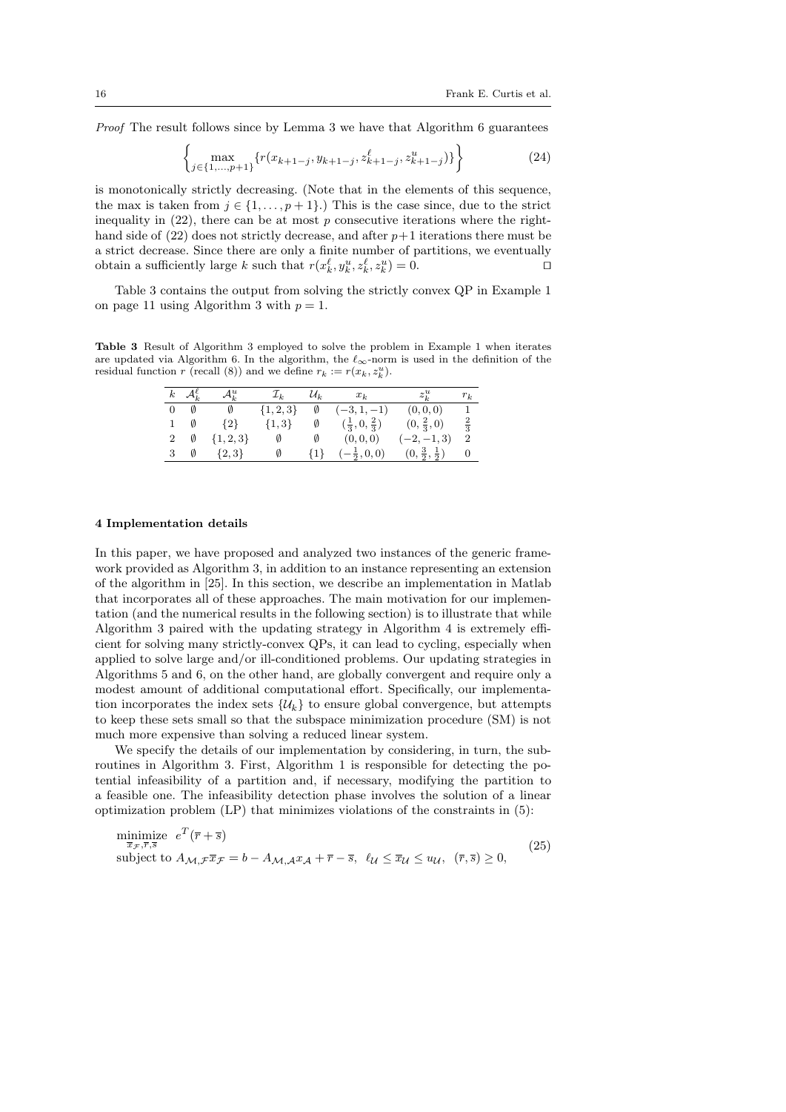Proof The result follows since by Lemma 3 we have that Algorithm 6 guarantees

$$
\left\{\max_{j\in\{1,\ldots,p+1\}}\{r(x_{k+1-j},y_{k+1-j},z_{k+1-j}^{\ell},z_{k+1-j}^{u})\}\right\} \tag{24}
$$

is monotonically strictly decreasing. (Note that in the elements of this sequence, the max is taken from  $j \in \{1, \ldots, p+1\}$ .) This is the case since, due to the strict inequality in  $(22)$ , there can be at most p consecutive iterations where the righthand side of  $(22)$  does not strictly decrease, and after  $p+1$  iterations there must be a strict decrease. Since there are only a finite number of partitions, we eventually obtain a sufficiently large k such that  $r(x_k^{\ell}, y_k^u, z_k^{\ell}, z_k^u) = 0$ .

Table 3 contains the output from solving the strictly convex QP in Example 1 on page 11 using Algorithm 3 with  $p = 1$ .

Table 3 Result of Algorithm 3 employed to solve the problem in Example 1 when iterates are updated via Algorithm 6. In the algorithm, the  $\ell_{\infty}$ -norm is used in the definition of the residual function r (recall (8)) and we define  $r_k := r(x_k, z_k^u)$ .

| $\boldsymbol{k}$ | $\mathcal{A}_{\iota}^{\ell}$ | $\mathcal{A}^u_k$ | $\mathcal{I}_k$ | $\mathcal{U}_k$ | $x_k$                           | $z_{\iota}^u$                   | $r_k$            |
|------------------|------------------------------|-------------------|-----------------|-----------------|---------------------------------|---------------------------------|------------------|
| $\overline{0}$   |                              | Ø                 | $\{1, 2, 3\}$   | Ø               | $(-3, 1, -1)$                   | (0,0,0)                         | $\mathbf{1}$     |
|                  |                              | $\{2\}$           | $\{1,3\}$       | Ø               | $(\frac{1}{3},0,\frac{2}{3})$   | $(0, \frac{2}{3}, 0)$           | $\frac{2}{3}$    |
| 2                | Ø                            | $\{1,2,3\}$       | Ø               |                 | (0,0,0)                         | $(-2,-1,3)$                     | $\boldsymbol{2}$ |
|                  | Ø                            | $\{2,3\}$         | Ø               | ${1}$           | $\left(-\frac{1}{2},0,0\right)$ | $(0, \frac{3}{2}, \frac{1}{2})$ | $\theta$         |

#### 4 Implementation details

In this paper, we have proposed and analyzed two instances of the generic framework provided as Algorithm 3, in addition to an instance representing an extension of the algorithm in [25]. In this section, we describe an implementation in Matlab that incorporates all of these approaches. The main motivation for our implementation (and the numerical results in the following section) is to illustrate that while Algorithm 3 paired with the updating strategy in Algorithm 4 is extremely efficient for solving many strictly-convex QPs, it can lead to cycling, especially when applied to solve large and/or ill-conditioned problems. Our updating strategies in Algorithms 5 and 6, on the other hand, are globally convergent and require only a modest amount of additional computational effort. Specifically, our implementation incorporates the index sets  $\{\mathcal{U}_k\}$  to ensure global convergence, but attempts to keep these sets small so that the subspace minimization procedure (SM) is not much more expensive than solving a reduced linear system.

We specify the details of our implementation by considering, in turn, the subroutines in Algorithm 3. First, Algorithm 1 is responsible for detecting the potential infeasibility of a partition and, if necessary, modifying the partition to a feasible one. The infeasibility detection phase involves the solution of a linear optimization problem (LP) that minimizes violations of the constraints in (5):

$$
\begin{array}{ll}\n\text{minimize} & e^T(\overline{r} + \overline{s}) \\
\text{subject to } A_{\mathcal{M}, \mathcal{F}} \overline{x}_{\mathcal{F}} = b - A_{\mathcal{M}, \mathcal{A}} x_{\mathcal{A}} + \overline{r} - \overline{s}, \ \ell_{\mathcal{U}} \leq \overline{x}_{\mathcal{U}} \leq u_{\mathcal{U}}, \ (\overline{r}, \overline{s}) \geq 0,\n\end{array} \tag{25}
$$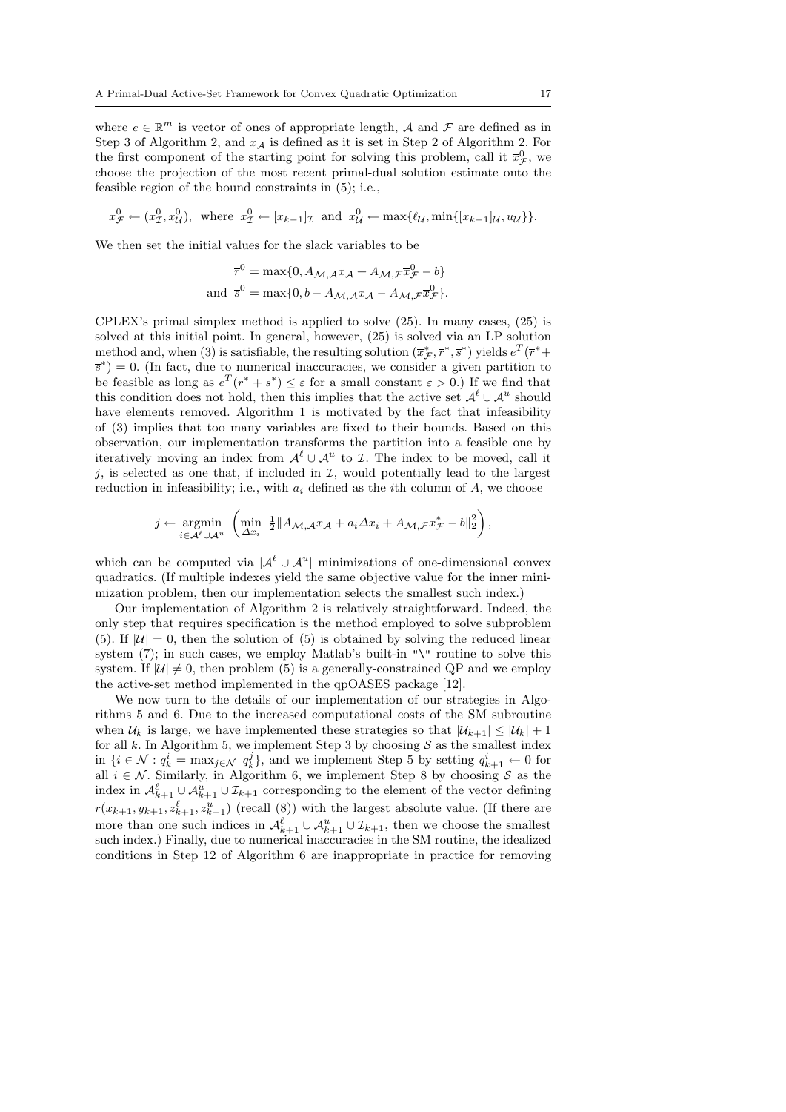where  $e \in \mathbb{R}^m$  is vector of ones of appropriate length, A and F are defined as in Step 3 of Algorithm 2, and  $x_A$  is defined as it is set in Step 2 of Algorithm 2. For the first component of the starting point for solving this problem, call it  $\bar{x}_{\mathcal{F}}^0$ , we choose the projection of the most recent primal-dual solution estimate onto the feasible region of the bound constraints in (5); i.e.,

$$
\overline{x}_{\mathcal{F}}^0 \leftarrow (\overline{x}_{\mathcal{I}}^0, \overline{x}_{\mathcal{U}}^0), \text{ where } \overline{x}_{\mathcal{I}}^0 \leftarrow [x_{k-1}]_{\mathcal{I}} \text{ and } \overline{x}_{\mathcal{U}}^0 \leftarrow \max\{\ell_{\mathcal{U}}, \min\{[x_{k-1}]\mathcal{U}, u_{\mathcal{U}}\}\}.
$$

We then set the initial values for the slack variables to be

$$
\overline{r}^0 = \max\{0, A_{\mathcal{M}, \mathcal{A}} x_{\mathcal{A}} + A_{\mathcal{M}, \mathcal{F}} \overline{x}_{\mathcal{F}}^0 - b\}
$$
  
and 
$$
\overline{s}^0 = \max\{0, b - A_{\mathcal{M}, \mathcal{A}} x_{\mathcal{A}} - A_{\mathcal{M}, \mathcal{F}} \overline{x}_{\mathcal{F}}^0\}.
$$

CPLEX's primal simplex method is applied to solve (25). In many cases, (25) is solved at this initial point. In general, however, (25) is solved via an LP solution method and, when (3) is satisfiable, the resulting solution  $(\overline{x}_{\mathcal{F}}^*, \overline{r}^*, \overline{s}^*)$  yields  $e^T(\overline{r}^* +$  $\overline{s}^*$ ) = 0. (In fact, due to numerical inaccuracies, we consider a given partition to be feasible as long as  $e^T(r^* + s^*) \leq \varepsilon$  for a small constant  $\varepsilon > 0$ .) If we find that this condition does not hold, then this implies that the active set  $\mathcal{A}^{\ell} \cup \mathcal{A}^{u}$  should have elements removed. Algorithm 1 is motivated by the fact that infeasibility of (3) implies that too many variables are fixed to their bounds. Based on this observation, our implementation transforms the partition into a feasible one by iteratively moving an index from  $\mathcal{A}^{\ell} \cup \mathcal{A}^{u}$  to *I*. The index to be moved, call it j, is selected as one that, if included in  $I$ , would potentially lead to the largest reduction in infeasibility; i.e., with  $a_i$  defined as the *i*th column of A, we choose

$$
j \leftarrow \underset{i \in \mathcal{A}^{\ell} \cup \mathcal{A}^u}{\text{argmin}} \left( \underset{\Delta x_i}{\text{min}} \frac{1}{2} \| A_{\mathcal{M}, \mathcal{A}} x_{\mathcal{A}} + a_i \Delta x_i + A_{\mathcal{M}, \mathcal{F}} \overline{x}_{\mathcal{F}}^* - b \|_2^2 \right),
$$

which can be computed via  $\mathcal{A}^{\ell} \cup \mathcal{A}^{u}$  minimizations of one-dimensional convex quadratics. (If multiple indexes yield the same objective value for the inner minimization problem, then our implementation selects the smallest such index.)

Our implementation of Algorithm 2 is relatively straightforward. Indeed, the only step that requires specification is the method employed to solve subproblem (5). If  $|U| = 0$ , then the solution of (5) is obtained by solving the reduced linear system (7); in such cases, we employ Matlab's built-in "\" routine to solve this system. If  $|U| \neq 0$ , then problem (5) is a generally-constrained QP and we employ the active-set method implemented in the qpOASES package [12].

We now turn to the details of our implementation of our strategies in Algorithms 5 and 6. Due to the increased computational costs of the SM subroutine when  $U_k$  is large, we have implemented these strategies so that  $|U_{k+1}| \leq |U_k| + 1$ for all k. In Algorithm 5, we implement Step 3 by choosing  $S$  as the smallest index in  $\{i \in \mathcal{N} : q_k^i = \max_{j \in \mathcal{N}} q_k^j\}$ , and we implement Step 5 by setting  $q_{k+1}^i \leftarrow 0$  for all  $i \in \mathcal{N}$ . Similarly, in Algorithm 6, we implement Step 8 by choosing S as the index in  $\mathcal{A}_{k+1}^{\ell} \cup \mathcal{A}_{k+1}^u \cup \mathcal{I}_{k+1}$  corresponding to the element of the vector defining  $r(x_{k+1}, y_{k+1}, z_{k+1}^{\ell}, z_{k+1}^u)$  (recall (8)) with the largest absolute value. (If there are more than one such indices in  $\mathcal{A}_{k+1}^{\ell} \cup \mathcal{A}_{k+1}^u \cup \mathcal{I}_{k+1}$ , then we choose the smallest such index.) Finally, due to numerical inaccuracies in the SM routine, the idealized conditions in Step 12 of Algorithm 6 are inappropriate in practice for removing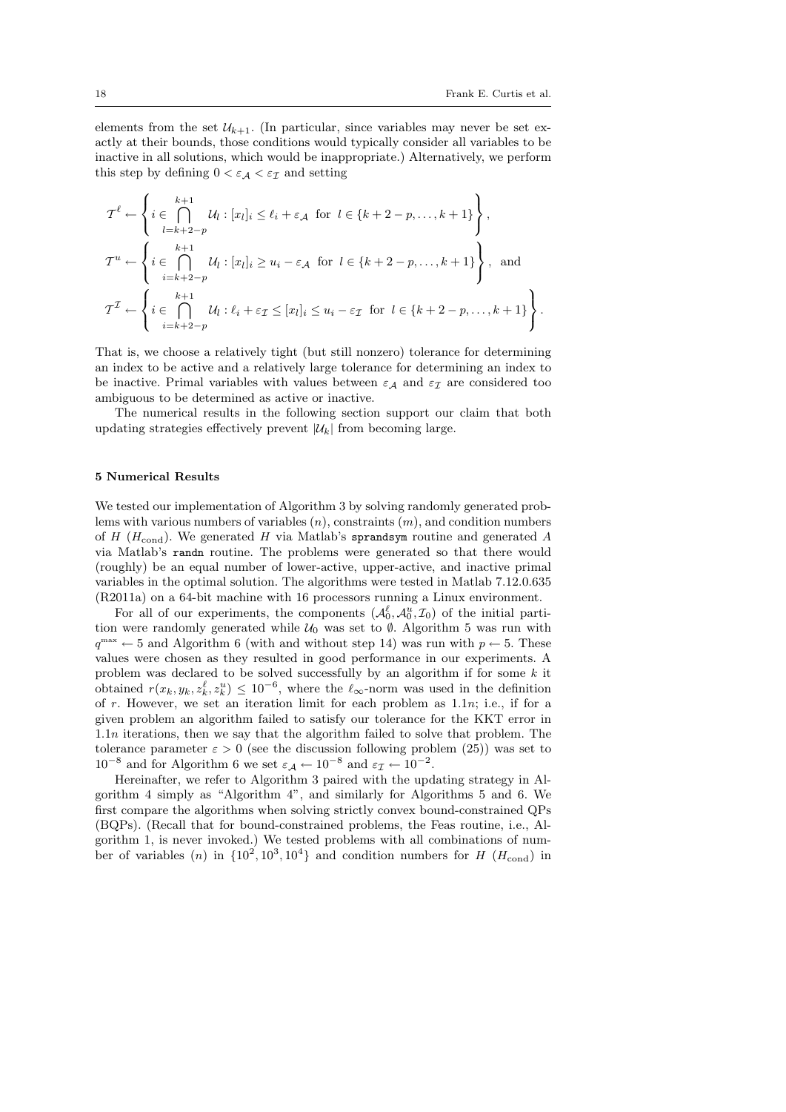.

elements from the set  $U_{k+1}$ . (In particular, since variables may never be set exactly at their bounds, those conditions would typically consider all variables to be inactive in all solutions, which would be inappropriate.) Alternatively, we perform this step by defining  $0 < \varepsilon_A < \varepsilon_{\mathcal{I}}$  and setting

$$
\mathcal{T}^{\ell} \leftarrow \left\{ i \in \bigcap_{l=k+2-p}^{k+1} \mathcal{U}_l : [x_l]_i \le \ell_i + \varepsilon_{\mathcal{A}} \text{ for } l \in \{k+2-p, \dots, k+1\} \right\},\
$$
  

$$
\mathcal{T}^u \leftarrow \left\{ i \in \bigcap_{i=k+2-p}^{k+1} \mathcal{U}_i : [x_l]_i \ge u_i - \varepsilon_{\mathcal{A}} \text{ for } l \in \{k+2-p, \dots, k+1\} \right\},\
$$
and  

$$
\mathcal{T}^{\mathcal{I}} \leftarrow \left\{ i \in \bigcap_{i=k+2-p}^{k+1} \mathcal{U}_i : \ell_i + \varepsilon_{\mathcal{I}} \le [x_l]_i \le u_i - \varepsilon_{\mathcal{I}} \text{ for } l \in \{k+2-p, \dots, k+1\} \right\}
$$

That is, we choose a relatively tight (but still nonzero) tolerance for determining an index to be active and a relatively large tolerance for determining an index to be inactive. Primal variables with values between  $\varepsilon_A$  and  $\varepsilon_I$  are considered too ambiguous to be determined as active or inactive.

The numerical results in the following section support our claim that both updating strategies effectively prevent  $|\mathcal{U}_k|$  from becoming large.

#### 5 Numerical Results

We tested our implementation of Algorithm 3 by solving randomly generated problems with various numbers of variables  $(n)$ , constraints  $(m)$ , and condition numbers of H ( $H_{\text{cond}}$ ). We generated H via Matlab's sprandsym routine and generated A via Matlab's randn routine. The problems were generated so that there would (roughly) be an equal number of lower-active, upper-active, and inactive primal variables in the optimal solution. The algorithms were tested in Matlab 7.12.0.635 (R2011a) on a 64-bit machine with 16 processors running a Linux environment.

For all of our experiments, the components  $(\mathcal{A}_0^{\ell}, \mathcal{A}_0^{\ell}, \mathcal{I}_0)$  of the initial partition were randomly generated while  $U_0$  was set to Ø. Algorithm 5 was run with  $q^{\text{max}} \leftarrow 5$  and Algorithm 6 (with and without step 14) was run with  $p \leftarrow 5$ . These values were chosen as they resulted in good performance in our experiments. A problem was declared to be solved successfully by an algorithm if for some k it obtained  $r(x_k, y_k, z_k^{\ell}, z_k^u) \leq 10^{-6}$ , where the  $\ell_{\infty}$ -norm was used in the definition of r. However, we set an iteration limit for each problem as  $1.1n$ ; i.e., if for a given problem an algorithm failed to satisfy our tolerance for the KKT error in 1.1n iterations, then we say that the algorithm failed to solve that problem. The tolerance parameter  $\varepsilon > 0$  (see the discussion following problem (25)) was set to 10<sup>-8</sup> and for Algorithm 6 we set  $\varepsilon_{\mathcal{A}} \leftarrow 10^{-8}$  and  $\varepsilon_{\mathcal{I}} \leftarrow 10^{-2}$ .

Hereinafter, we refer to Algorithm 3 paired with the updating strategy in Algorithm 4 simply as "Algorithm 4", and similarly for Algorithms 5 and 6. We first compare the algorithms when solving strictly convex bound-constrained QPs (BQPs). (Recall that for bound-constrained problems, the Feas routine, i.e., Algorithm 1, is never invoked.) We tested problems with all combinations of number of variables  $(n)$  in  $\{10^2, 10^3, 10^4\}$  and condition numbers for H  $(H_{\text{cond}})$  in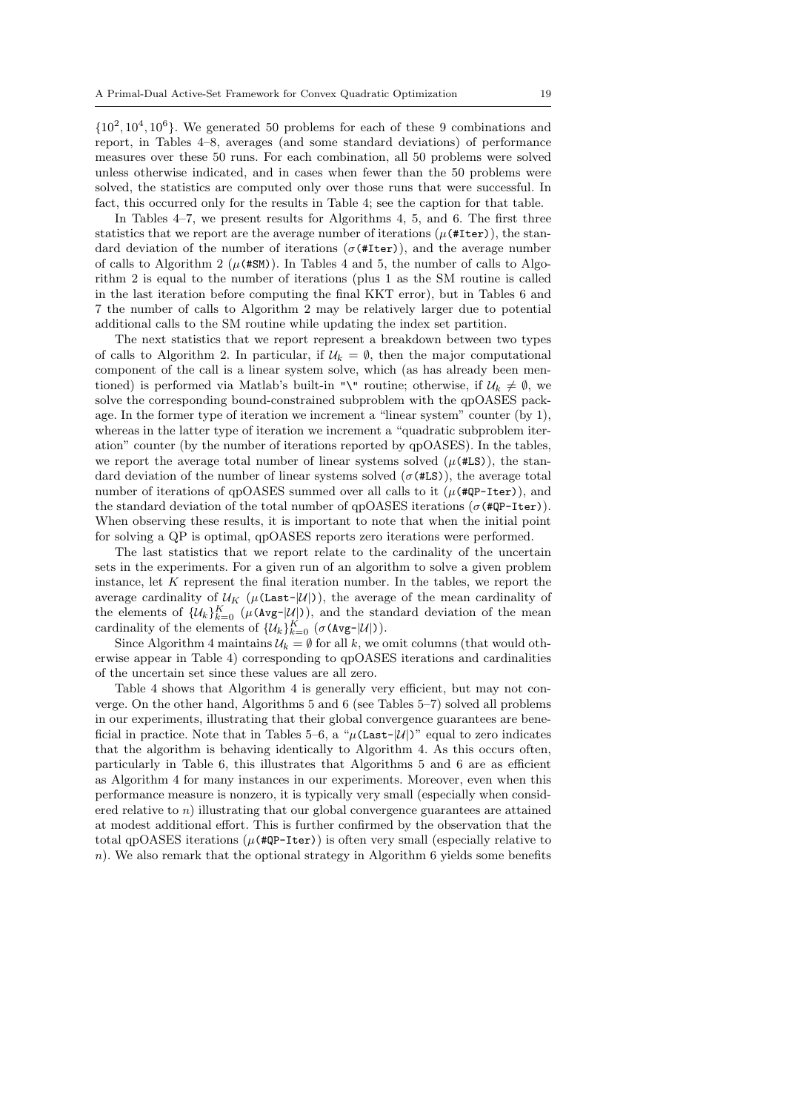$\{10^2, 10^4, 10^6\}$ . We generated 50 problems for each of these 9 combinations and report, in Tables 4–8, averages (and some standard deviations) of performance measures over these 50 runs. For each combination, all 50 problems were solved unless otherwise indicated, and in cases when fewer than the 50 problems were solved, the statistics are computed only over those runs that were successful. In fact, this occurred only for the results in Table 4; see the caption for that table.

In Tables 4–7, we present results for Algorithms 4, 5, and 6. The first three statistics that we report are the average number of iterations  $(\mu$ (#Iter)), the standard deviation of the number of iterations ( $\sigma$ (#Iter)), and the average number of calls to Algorithm 2 ( $\mu$ (#SM)). In Tables 4 and 5, the number of calls to Algorithm 2 is equal to the number of iterations (plus 1 as the SM routine is called in the last iteration before computing the final KKT error), but in Tables 6 and 7 the number of calls to Algorithm 2 may be relatively larger due to potential additional calls to the SM routine while updating the index set partition.

The next statistics that we report represent a breakdown between two types of calls to Algorithm 2. In particular, if  $\mathcal{U}_k = \emptyset$ , then the major computational component of the call is a linear system solve, which (as has already been mentioned) is performed via Matlab's built-in "\" routine; otherwise, if  $\mathcal{U}_k \neq \emptyset$ , we solve the corresponding bound-constrained subproblem with the qpOASES package. In the former type of iteration we increment a "linear system" counter (by 1), whereas in the latter type of iteration we increment a "quadratic subproblem iteration" counter (by the number of iterations reported by qpOASES). In the tables, we report the average total number of linear systems solved  $(\mu$ (#LS)), the standard deviation of the number of linear systems solved  $(\sigma$ (#LS)), the average total number of iterations of qpOASES summed over all calls to it  $(\mu$ (#QP-Iter)), and the standard deviation of the total number of qpOASES iterations ( $\sigma$ (#QP-Iter)). When observing these results, it is important to note that when the initial point for solving a QP is optimal, qpOASES reports zero iterations were performed.

The last statistics that we report relate to the cardinality of the uncertain sets in the experiments. For a given run of an algorithm to solve a given problem instance, let K represent the final iteration number. In the tables, we report the average cardinality of  $U_K$  ( $\mu$ (Last- $|U|$ )), the average of the mean cardinality of the elements of  $\{\mathcal{U}_k\}_{k=0}^K$  ( $\mu(\text{Avg-}|\mathcal{U}|)$ ), and the standard deviation of the mean cardinality of the elements of  $\{\mathcal{U}_k\}_{k=0}^K$  ( $\sigma$ (Avg- $|\mathcal{U}|$ )).

Since Algorithm 4 maintains  $\mathcal{U}_k = \emptyset$  for all k, we omit columns (that would otherwise appear in Table 4) corresponding to qpOASES iterations and cardinalities of the uncertain set since these values are all zero.

Table 4 shows that Algorithm 4 is generally very efficient, but may not converge. On the other hand, Algorithms 5 and 6 (see Tables 5–7) solved all problems in our experiments, illustrating that their global convergence guarantees are beneficial in practice. Note that in Tables 5–6, a " $\mu$ (Last-|U|)" equal to zero indicates that the algorithm is behaving identically to Algorithm 4. As this occurs often, particularly in Table 6, this illustrates that Algorithms 5 and 6 are as efficient as Algorithm 4 for many instances in our experiments. Moreover, even when this performance measure is nonzero, it is typically very small (especially when considered relative to  $n$ ) illustrating that our global convergence guarantees are attained at modest additional effort. This is further confirmed by the observation that the total qpOASES iterations ( $\mu$ (#QP-Iter)) is often very small (especially relative to n). We also remark that the optional strategy in Algorithm 6 yields some benefits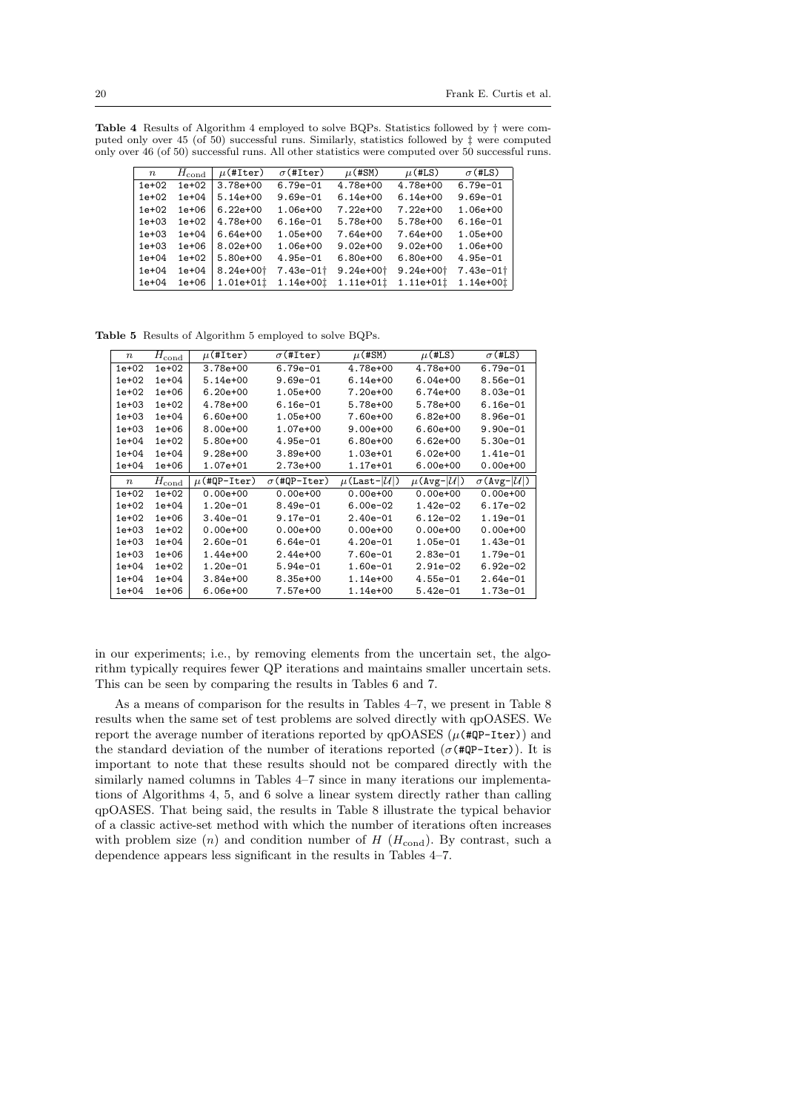Table 4 Results of Algorithm 4 employed to solve BQPs. Statistics followed by † were computed only over 45 (of 50) successful runs. Similarly, statistics followed by ‡ were computed only over 46 (of 50) successful runs. All other statistics were computed over 50 successful runs.

| $\, n$    | $H_{\rm cond}$ | $\mu$ (#Iter)             | $\sigma$ (#Iter)  | $\mu$ (#SM)           | $\mu$ (#LS)               | $\sigma$ (#LS)          |
|-----------|----------------|---------------------------|-------------------|-----------------------|---------------------------|-------------------------|
| $1e+02$   | $1e+02$        | $3.78e + 00$              | $6.79e - 01$      | $4.78e+00$            | 4.78e+00                  | $6.79e - 01$            |
| $1e+02$   | $1e + 04$      | $5.14e + 00$              | $9.69e - 01$      | $6.14e + 00$          | $6.14e + 00$              | $9.69e - 01$            |
| $1e+02$   | $1e + 06$      | $6.22e + 00$              | $1.06e + 00$      | $7.22e + 00$          | $7.22e + 00$              | $1.06e + 00$            |
| $1e+03$   | $1e+02$        | $4.78e{+}00$              | $6.16e - 01$      | $5.78e + 00$          | $5.78e + 00$              | $6.16e - 01$            |
| $1e+03$   | $1e + 04$      | $6.64e + 00$              | $1.05e + 00$      | $7.64e{+}00$          | $7.64e + 00$              | $1.05e + 00$            |
| $1e+03$   | $1e + 06$      | $8.02e + 00$              | $1.06e + 00$      | $9.02e + 00$          | $9.02e + 00$              | $1.06e + 00$            |
| $1e + 04$ | $1e+02$        | $5.80e+00$                | $4.95e - 01$      | $6.80 + 00$           | $6.80e + 00$              | $4.95e - 01$            |
| $1e + 04$ | $1e + 04$      | $8.24e + 00$ <sup>+</sup> | $7.43e-01\dagger$ | $9.24e + 00$          | $9.24e + 00$ <sup>+</sup> | $7.43e-01$ <sup>+</sup> |
| $1e + 04$ | $1e + 06$      | $1.01e + 011$             | 1.14e+00t         | 1.11e+01 <sup>t</sup> | $1.11e+011$               | 1.14e+00t               |

Table 5 Results of Algorithm 5 employed to solve BQPs.

| $\boldsymbol{n}$ | $H_{\rm cond}$            | $\mu$ (#Iter)    | $\sigma$ (#Iter)    | $\mu$ (#SM)                    | $\mu$ (#LS)                   | $\sigma$ (#LS)                   |
|------------------|---------------------------|------------------|---------------------|--------------------------------|-------------------------------|----------------------------------|
| 1e+02            | $1e+02$                   | 3.78e+00         | $6.79e - 01$        | 4.78e+00                       | 4.78e+00                      | $6.79e - 01$                     |
| 1e+02            | $1e + 04$                 | $5.14e+00$       | $9.69e - 01$        | $6.14e+00$                     | $6.04e + 00$                  | $8.56e - 01$                     |
| $1e+02$          | $1e + 06$                 | $6.20e + 00$     | 1.05e+00            | 7.20e+00                       | $6.74e+00$                    | $8.03e - 01$                     |
| 1e+03            | $1e+02$                   | 4.78e+00         | $6.16e-01$          | 5.78e+00                       | 5.78e+00                      | $6.16e-01$                       |
| 1e+03            | $1e + 04$                 | $6.60e + 00$     | 1.05e+00            | 7.60e+00                       | $6.82e+00$                    | $8.96e-01$                       |
| $1e+03$          | $1e + 06$                 | 8.00e+00         | 1.07e+00            | $9.00e + 00$                   | $6.60e + 00$                  | $9.90e - 01$                     |
| $1e+04$          | $1e+02$                   | 5.80e+00         | $4.95e-01$          | $6.80e + 00$                   | $6.62e+00$                    | $5.30e-01$                       |
| 1e+04            | $1e + 04$                 | $9.28e + 00$     | $3.89e + 00$        | 1.03e+01                       | $6.02e + 00$                  | 1.41e-01                         |
| 1e+04            | $1e + 06$                 | 1.07e+01         | 2.73e+00            | 1.17e+01                       | $6.00e + 00$                  | $0.00e + 00$                     |
|                  |                           |                  |                     |                                |                               |                                  |
| $\boldsymbol{n}$ |                           | $\mu$ (#QP-Iter) | $\sigma$ (#QP-Iter) | $\mu$ (Last- $ \mathcal{U} $ ) | $\mu$ (Avg- $ \mathcal{U} $ ) | $\sigma$ (Avg- $ \mathcal{U} $ ) |
| $1e+02$          | $H_{\rm cond}$<br>$1e+02$ | $0.00e + 00$     | $0.00e + 00$        | $0.00e + 00$                   | $0.00e + 00$                  | $0.00e + 00$                     |
| 1e+02            | $1e+04$                   | $1.20e-01$       | $8.49e - 01$        | $6.00e-02$                     | 1.42e-02                      | $6.17e-02$                       |
| 1e+02            | $1e + 06$                 | $3.40e - 01$     | $9.17e-01$          | $2.40e-01$                     | $6.12e-02$                    | $1.19e - 01$                     |
| 1e+03            | $1e+02$                   | $0.00e + 00$     | $0.00e + 00$        | $0.00e + 00$                   | $0.00e + 00$                  | $0.00e + 00$                     |
| 1e+03            | $1e + 04$                 | $2.60e-01$       | $6.64e-01$          | $4.20e-01$                     | 1.05e-01                      | $1.43e-01$                       |
| $1e+03$          | $1e + 06$                 | 1.44e+00         | $2.44e+00$          | $7.60e - 01$                   | $2.83e-01$                    | $1.79e - 01$                     |
| $1e+04$          | $1e+02$                   | $1.20e-01$       | $5.94e-01$          | $1.60e-01$                     | $2.91e-02$                    | $6.92e-02$                       |
| $1e + 04$        | $1e + 04$                 | $3.84e + 00$     | $8.35e+00$          | 1.14e+00                       | $4.55e-01$                    | $2.64e-01$                       |

in our experiments; i.e., by removing elements from the uncertain set, the algorithm typically requires fewer QP iterations and maintains smaller uncertain sets. This can be seen by comparing the results in Tables 6 and 7.

As a means of comparison for the results in Tables 4–7, we present in Table 8 results when the same set of test problems are solved directly with qpOASES. We report the average number of iterations reported by  $qpOASES$  ( $\mu$ (#QP-Iter)) and the standard deviation of the number of iterations reported ( $\sigma$ (#QP-Iter)). It is important to note that these results should not be compared directly with the similarly named columns in Tables 4–7 since in many iterations our implementations of Algorithms 4, 5, and 6 solve a linear system directly rather than calling qpOASES. That being said, the results in Table 8 illustrate the typical behavior of a classic active-set method with which the number of iterations often increases with problem size  $(n)$  and condition number of H  $(H_{cond})$ . By contrast, such a dependence appears less significant in the results in Tables 4–7.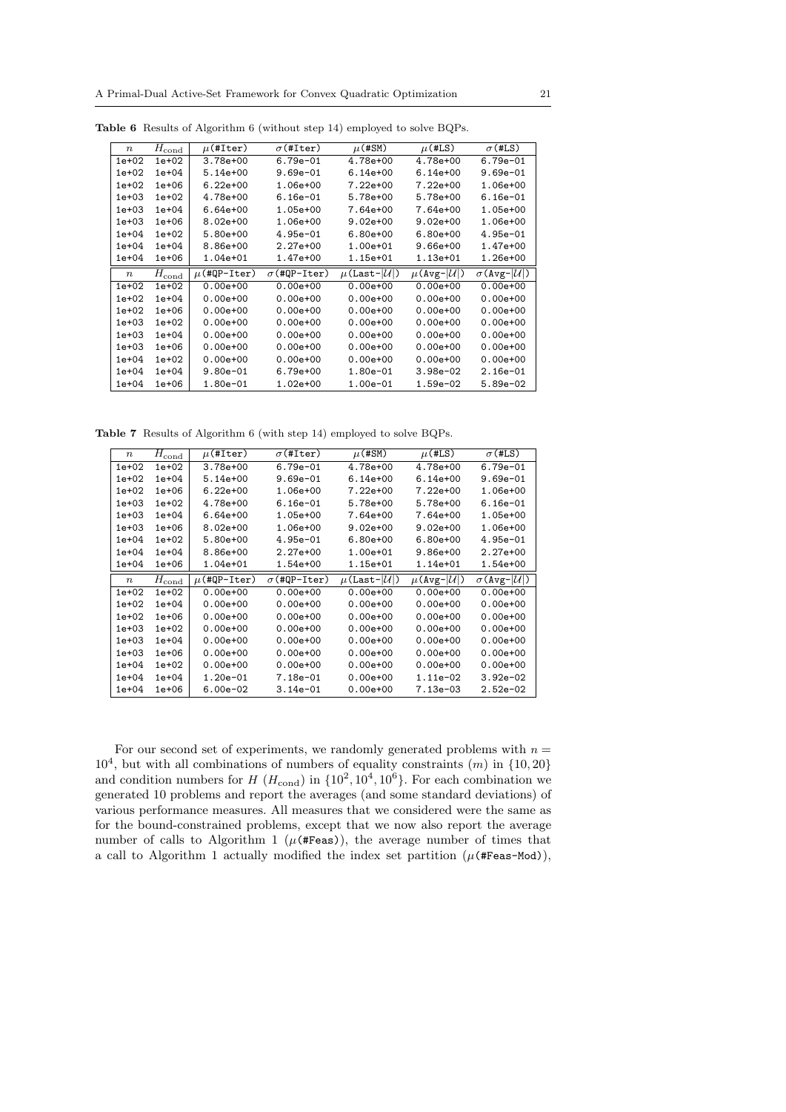| $\boldsymbol{n}$ | $H_{\rm cond}$                            | $\mu$ (#Iter)    | $\sigma$ (#Iter)    | $\mu$ (#SM)                    | $\mu$ (#LS)                   | $\sigma$ (#LS)                   |
|------------------|-------------------------------------------|------------------|---------------------|--------------------------------|-------------------------------|----------------------------------|
| $1e+02$          | $1e+02$                                   | $3.78e + 00$     | $6.79e - 01$        | 4.78e+00                       | 4.78e+00                      | $6.79e - 01$                     |
| $1e+02$          | $1e+04$                                   | $5.14e+00$       | $9.69e - 01$        | $6.14e+00$                     | $6.14e+00$                    | $9.69e - 01$                     |
| $1e+02$          | $1e + 06$                                 | $6.22e + 00$     | 1.06e+00            | 7.22e+00                       | $7.22e+00$                    | $1.06e + 00$                     |
| $1e+03$          | $1e+02$                                   | 4.78e+00         | $6.16e - 01$        | 5.78e+00                       | 5.78e+00                      | $6.16e - 01$                     |
| $1e + 03$        | $1e+04$                                   | $6.64e+00$       | 1.05e+00            | 7.64e+00                       | 7.64e+00                      | 1.05e+00                         |
| $1e + 03$        | $1e + 06$                                 | $8.02e + 00$     | $1.06e + 00$        | $9.02e + 00$                   | $9.02e + 00$                  | 1.06e+00                         |
| $1e+04$          | $1e+02$                                   | 5.80e+00         | $4.95e-01$          | $6.80e + 00$                   | $6.80e + 00$                  | $4.95e-01$                       |
| $1e+04$          | $1e + 04$                                 | $8.86e + 00$     | $2.27e+00$          | 1.00e+01                       | $9.66e + 00$                  | 1.47e+00                         |
| $1e+04$          | $1e+06$                                   | 1.04e+01         | 1.47e+00            | 1.15e+01                       | 1.13e+01                      | 1.26e+00                         |
|                  |                                           |                  |                     |                                |                               |                                  |
| $\boldsymbol{n}$ |                                           | $\mu$ (#QP-Iter) | $\sigma$ (#QP-Iter) | $\mu$ (Last- $ \mathcal{U} $ ) | $\mu$ (Avg- $ \mathcal{U} $ ) | $\sigma$ (Avg- $ \mathcal{U} $ ) |
| $1e+02$          | $\overline{H}_{\mathrm{cond}}$<br>$1e+02$ | $0.00e + 00$     | $0.00e + 00$        | $0.00e + 00$                   | $0.00e + 00$                  | $0.00e + 00$                     |
| $1e+02$          | $1e + 04$                                 | $0.00e + 00$     | $0.00e + 00$        | $0.00e + 00$                   | $0.00e + 00$                  | $0.00e + 00$                     |
| $1e+02$          | $1e+06$                                   | $0.00e + 00$     | $0.00e + 00$        | $0.00e + 00$                   | $0.00e + 00$                  | $0.00e + 00$                     |
| $1e + 03$        | $1e+02$                                   | $0.00e + 00$     | $0.00e + 00$        | $0.00e + 00$                   | $0.00e + 00$                  | $0.00e + 00$                     |
| $1e+03$          | $1e + 04$                                 | $0.00e + 00$     | $0.00e + 00$        | $0.00e + 00$                   | $0.00e + 00$                  | $0.00e + 00$                     |
| $1e+03$          | $1e + 06$                                 | $0.00e + 00$     | $0.00e + 00$        | $0.00e + 00$                   | $0.00e + 00$                  | $0.00e + 00$                     |
| $1e + 04$        | $1e+02$                                   | $0.00e + 00$     | $0.00e + 00$        | $0.00e + 00$                   | $0.00e + 00$                  | $0.00e + 00$                     |
| $1e+04$          | $1e + 04$                                 | $9.80e - 01$     | 6.79e+00            | 1.80e-01                       | $3.98e-02$                    | $2.16e-01$                       |

Table 6 Results of Algorithm 6 (without step 14) employed to solve BQPs.

Table 7 Results of Algorithm 6 (with step 14) employed to solve BQPs.

| $\boldsymbol{n}$ | $H_{\rm cond}$            | $\mu$ (#Iter)    | $\sigma$ (#Iter)    | $\mu$ (#SM)                    | $\mu$ (#LS)                   | $\sigma$ (#LS)                   |
|------------------|---------------------------|------------------|---------------------|--------------------------------|-------------------------------|----------------------------------|
| $1e+02$          | $1e+02$                   | $3.78e + 00$     | $6.79e - 01$        | 4.78e+00                       | 4.78e+00                      | $6.79e - 01$                     |
| $1e+02$          | $1e + 04$                 | $5.14e+00$       | $9.69e - 01$        | $6.14e+00$                     | $6.14e+00$                    | $9.69e - 01$                     |
| $1e+02$          | $1e + 06$                 | $6.22e + 00$     | $1.06e + 00$        | $7.22e+00$                     | $7.22e+00$                    | $1.06e + 00$                     |
| $1e+03$          | $1e+02$                   | 4.78e+00         | $6.16e-01$          | 5.78e+00                       | 5.78e+00                      | $6.16e-01$                       |
| $1e + 03$        | $1e + 04$                 | $6.64e + 00$     | $1.05e+00$          | 7.64e+00                       | 7.64e+00                      | $1.05e + 00$                     |
| $1e+03$          | $1e + 06$                 | 8.02e+00         | 1.06e+00            | $9.02e + 00$                   | $9.02e + 00$                  | $1.06e + 00$                     |
| $1e + 04$        | $1e+02$                   | $5.80e+00$       | $4.95e - 01$        | $6.80e + 00$                   | $6.80e + 00$                  | $4.95e - 01$                     |
| $1e + 04$        | $1e + 04$                 | 8.86e+00         | $2.27e+00$          | $1.00e + 01$                   | $9.86e + 00$                  | $2.27e+00$                       |
| $1e+04$          | $1e + 06$                 | 1.04e+01         | 1.54e+00            | 1.15e+01                       | 1.14e+01                      | 1.54e+00                         |
|                  |                           |                  |                     |                                |                               |                                  |
| $\boldsymbol{n}$ |                           | $\mu$ (#QP-Iter) | $\sigma$ (#QP-Iter) | $\mu$ (Last- $ \mathcal{U} $ ) | $\mu$ (Avg- $ \mathcal{U} $ ) | $\sigma$ (Avg- $ \mathcal{U} $ ) |
| $1e+02$          | $H_{\rm cond}$<br>$1e+02$ | $0.00e + 00$     | $0.00e + 00$        | $0.00e + 00$                   | $0.00e + 00$                  | $0.00e + 00$                     |
| $1e+02$          | $1e + 04$                 | $0.00e + 00$     | $0.00e + 00$        | $0.00e + 00$                   | $0.00e + 00$                  | $0.00e + 00$                     |
| $1e+02$          | $1e + 06$                 | $0.00e + 00$     | $0.00e + 00$        | $0.00e + 00$                   | $0.00e + 00$                  | $0.00e + 00$                     |
| $1e+03$          | $1e+02$                   | $0.00e + 00$     | $0.00e + 00$        | $0.00e + 00$                   | $0.00e + 00$                  | $0.00e + 00$                     |
| $1e + 03$        | $1e + 04$                 | $0.00e + 00$     | $0.00e + 00$        | $0.00e + 00$                   | $0.00e + 00$                  | $0.00e + 00$                     |
| $1e+03$          | $1e + 06$                 | $0.00e + 00$     | $0.00e + 00$        | $0.00e + 00$                   | $0.00e + 00$                  | $0.00e + 00$                     |
| $1e+04$          | $1e+02$                   | $0.00e + 00$     | $0.00e + 00$        | $0.00e + 00$                   | $0.00e + 00$                  | $0.00e + 00$                     |
| $1e + 04$        | $1e + 04$                 | $1.20e - 01$     | 7.18e-01            | $0.00e + 00$                   | $1.11e-02$                    | $3.92e-02$                       |

For our second set of experiments, we randomly generated problems with  $n =$  $10<sup>4</sup>$ , but with all combinations of numbers of equality constraints  $(m)$  in  $\{10, 20\}$ and condition numbers for  $H(H_{\text{cond}})$  in  $\{10^2, 10^4, 10^6\}$ . For each combination we generated 10 problems and report the averages (and some standard deviations) of various performance measures. All measures that we considered were the same as for the bound-constrained problems, except that we now also report the average number of calls to Algorithm 1 ( $\mu$ (#Feas)), the average number of times that a call to Algorithm 1 actually modified the index set partition  $(\mu$ (#Feas-Mod)),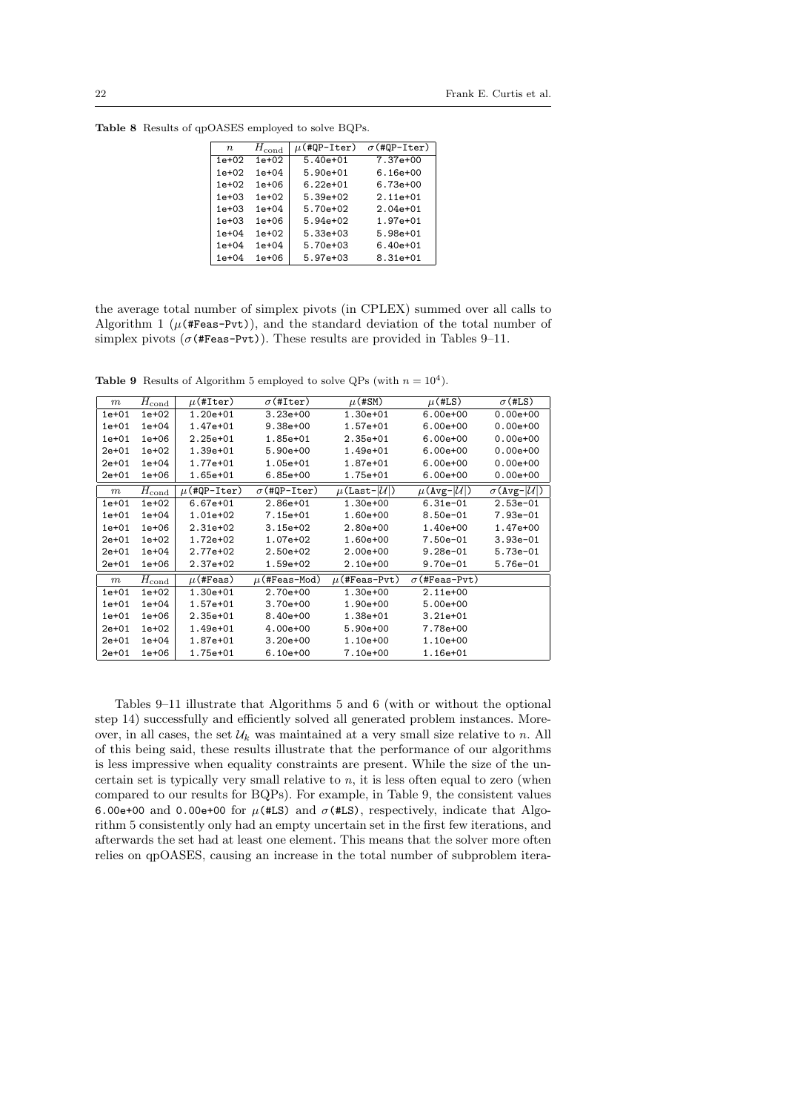| $\boldsymbol{n}$ | $H_{\text{cond}}$ | $\mu$ (#QP-Iter) | $\sigma$ (#QP-Iter) |
|------------------|-------------------|------------------|---------------------|
| $1e+02$          | $1e+02$           | $5.40e+01$       | 7.37e+00            |
| $1e+02$          | $1e + 04$         | 5.90e+01         | $6.16e + 00$        |
| $1e+02$          | $1e + 06$         | $6.22e + 01$     | 6.73e+00            |
| $1e+03$          | $1e+02$           | $5.39e+02$       | $2.11e+01$          |
| $1e + 03$        | $1e + 04$         | $5.70e+02$       | $2.04e + 01$        |
| $1e+03$          | $1e + 06$         | $5.94e+02$       | 1.97e+01            |
| $1e + 04$        | $1e+02$           | $5.33e+03$       | 5.98e+01            |
| $1e + 04$        | $1e + 04$         | $5.70e + 03$     | $6.40e + 01$        |
| $1e + 04$        | $1e+06$           | $5.97e+03$       | 8.31e+01            |

Table 8 Results of qpOASES employed to solve BQPs.

the average total number of simplex pivots (in CPLEX) summed over all calls to Algorithm 1 ( $\mu$ (#Feas-Pvt)), and the standard deviation of the total number of simplex pivots ( $\sigma$ (#Feas-Pvt)). These results are provided in Tables 9–11.

**Table 9** Results of Algorithm 5 employed to solve QPs (with  $n = 10<sup>4</sup>$ ).

| m         | $H_{\rm cond}$ | $\mu$ (#Iter)    | $\sigma$ (#Iter)    | $\mu$ (#SM)                    | $\mu$ (#LS)                   | $\sigma$ (#LS)                   |
|-----------|----------------|------------------|---------------------|--------------------------------|-------------------------------|----------------------------------|
| $1e+01$   | $1e+02$        | $1.20e + 01$     | $3.23e+00$          | 1.30e+01                       | $6.00e + 00$                  | $0.00e + 00$                     |
| $1e+01$   | $1e+04$        | 1.47e+01         | $9.38e + 00$        | 1.57e+01                       | $6.00e + 00$                  | $0.00e + 00$                     |
| $1e+01$   | $1e+06$        | $2.25e+01$       | 1.85e+01            | $2.35e+01$                     | $6.00e + 00$                  | $0.00e + 00$                     |
| $2e + 01$ | $1e+02$        | 1.39e+01         | $5.90e+00$          | 1.49e+01                       | $6.00e + 00$                  | $0.00e + 00$                     |
| $2e + 01$ | $1e+04$        | 1.77e+01         | 1.05e+01            | 1.87e+01                       | $6.00e + 00$                  | $0.00e + 00$                     |
| $2e + 01$ | $1e+06$        | 1.65e+01         | $6.85e+00$          | 1.75e+01                       | $6.00e + 00$                  | $0.00e + 00$                     |
| $\,m$     | $H_{\rm cond}$ | $\mu$ (#QP-Iter) | $\sigma$ (#QP-Iter) | $\mu$ (Last- $ \mathcal{U} $ ) | $\mu$ (Avg- $ \mathcal{U} $ ) | $\sigma$ (Avg- $ \mathcal{U} $ ) |
| $1e+01$   | $1e+02$        | $6.67e + 01$     | 2.86e+01            | $1.30e+00$                     | $6.31e-01$                    | $2.53e-01$                       |
| $1e+01$   | $1e+04$        | 1.01e+02         | 7.15e+01            | 1.60e+00                       | $8.50e-01$                    | $7.93e-01$                       |
| $1e+01$   | $1e+06$        | $2.31e+02$       | $3.15e+02$          | $2.80e+00$                     | 1.40e+00                      | 1.47e+00                         |
| $2e + 01$ | $1e+02$        | 1.72e+02         | 1.07e+02            | 1.60e+00                       | $7.50e-01$                    | $3.93e-01$                       |
| $2e + 01$ | $1e+04$        | 2.77e+02         | $2.50e+02$          | $2.00e + 00$                   | $9.28e - 01$                  | $5.73e-01$                       |
| $2e + 01$ | $1e+06$        | 2.37e+02         | 1.59e+02            | $2.10e+00$                     | $9.70e - 01$                  | $5.76e-01$                       |
| $\,m$     | $H_{\rm cond}$ | $\mu$ (#Feas)    | $\mu$ (#Feas-Mod)   | $\mu$ (#Feas-Pvt)              | $\sigma$ (#Feas-Pvt)          |                                  |
| $1e+01$   | $1e+02$        | 1.30e+01         | 2.70e+00            | $1.30e+00$                     | $2.11e+00$                    |                                  |
| $1e+01$   | $1e+04$        | 1.57e+01         | $3.70e+00$          | 1.90e+00                       | $5.00e+00$                    |                                  |
| $1e+01$   | $1e+06$        | $2.35e+01$       | 8.40e+00            | 1.38e+01                       | $3.21e+01$                    |                                  |
| $2e + 01$ | $1e+02$        | 1.49e+01         | 4.00e+00            | $5.90e+00$                     | 7.78e+00                      |                                  |
| $2e + 01$ | $1e+04$        | 1.87e+01         | $3.20e + 00$        | $1.10e+00$                     | 1.10e+00                      |                                  |
| $2e + 01$ | $1e+06$        | 1.75e+01         | $6.10e+00$          | 7.10e+00                       | 1.16e+01                      |                                  |

Tables 9–11 illustrate that Algorithms 5 and 6 (with or without the optional step 14) successfully and efficiently solved all generated problem instances. Moreover, in all cases, the set  $\mathcal{U}_k$  was maintained at a very small size relative to n. All of this being said, these results illustrate that the performance of our algorithms is less impressive when equality constraints are present. While the size of the uncertain set is typically very small relative to  $n$ , it is less often equal to zero (when compared to our results for BQPs). For example, in Table 9, the consistent values 6.00e+00 and 0.00e+00 for  $\mu$ (#LS) and  $\sigma$ (#LS), respectively, indicate that Algorithm 5 consistently only had an empty uncertain set in the first few iterations, and afterwards the set had at least one element. This means that the solver more often relies on qpOASES, causing an increase in the total number of subproblem itera-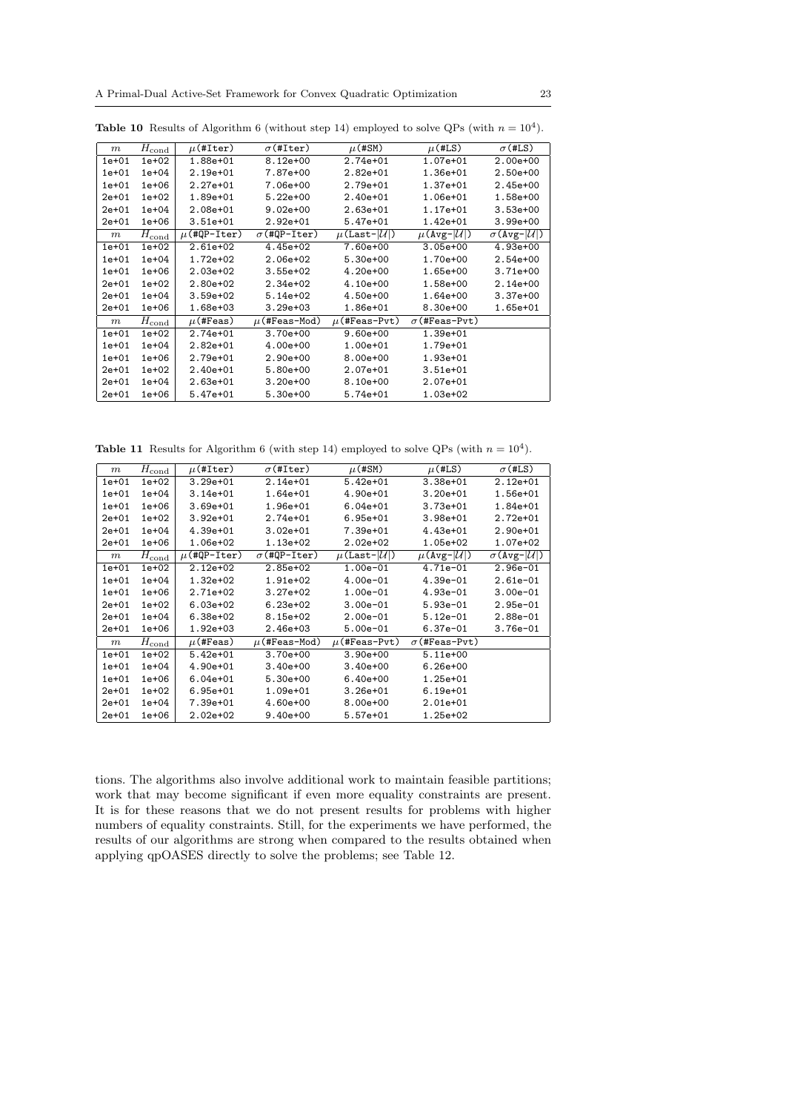| $\,m$     | $H_{\rm cond}$ | $\mu$ (#Iter)    | $\sigma$ (#Iter)    | $\mu$ (#SM)                    | $\mu$ (#LS)                   | $\sigma$ (#LS)                   |
|-----------|----------------|------------------|---------------------|--------------------------------|-------------------------------|----------------------------------|
| $1e+01$   | $1e+02$        | 1.88e+01         | $8.12e + 00$        | $2.74e+01$                     | $1.07e + 01$                  | $2.00e + 00$                     |
| $1e+01$   | $1e+04$        | $2.19e+01$       | 7.87e+00            | $2.82e+01$                     | 1.36e+01                      | $2.50e+00$                       |
| $1e+01$   | $1e+06$        | $2.27e+01$       | 7.06e+00            | 2.79e+01                       | $1.37e + 01$                  | $2.45e+00$                       |
| $2e+01$   | $1e+02$        | 1.89e+01         | $5.22e+00$          | $2.40e+01$                     | 1.06e+01                      | 1.58e+00                         |
| $2e+01$   | $1e+04$        | 2.08e+01         | $9.02e + 00$        | $2.63e+01$                     | $1.17e+01$                    | $3.53e+00$                       |
| $2e+01$   | $1e+06$        | $3.51e+01$       | $2.92e+01$          | $5.47e+01$                     | $1.42e + 01$                  | $3.99e+00$                       |
| $\,m$     | $H_{\rm cond}$ | $\mu$ (#QP-Iter) | $\sigma$ (#QP-Iter) | $\mu$ (Last- $ \mathcal{U} $ ) | $\mu$ (Avg- $ \mathcal{U} $ ) | $\sigma$ (Avg- $ \mathcal{U} $ ) |
| $1e+01$   | $1e+02$        | $2.61e+02$       | $4.45e+02$          | 7.60e+00                       | $3.05e+00$                    | $4.93e+00$                       |
| $1e+01$   | $1e+04$        | $1.72e+02$       | $2.06e+02$          | $5.30e+00$                     | 1.70e+00                      | $2.54e+00$                       |
| $1e+01$   | $1e+06$        | $2.03e+02$       | $3.55e+02$          | $4.20e+00$                     | 1.65e+00                      | $3.71e+00$                       |
| $2e + 01$ | $1e+02$        | $2.80e+02$       | $2.34e+02$          | $4.10e+00$                     | 1.58e+00                      | $2.14e+00$                       |
| $2e+01$   | $1e+04$        | $3.59e+02$       | $5.14e+02$          | 4.50e+00                       | 1.64e+00                      | $3.37e+00$                       |
| $2e+01$   | $1e+06$        | 1.68e+03         | $3.29e + 03$        | 1.86e+01                       | 8.30e+00                      | 1.65e+01                         |
| m         | $H_{\rm cond}$ | $\mu$ (#Feas)    | $\mu$ (#Feas-Mod)   | $\mu$ (#Feas-Pvt)              | $\sigma$ (#Feas-Pvt)          |                                  |
| $1e+01$   | $1e+02$        | 2.74e+01         | $3.70e+00$          | $9.60e + 00$                   | 1.39e+01                      |                                  |
| $1e+01$   | $1e+04$        | $2.82e+01$       | $4.00e+00$          | 1.00e+01                       | 1.79e+01                      |                                  |
| $1e+01$   | $1e+06$        | 2.79e+01         | $2.90e+00$          | 8.00e+00                       | 1.93e+01                      |                                  |
| $2e+01$   | $1e+02$        | 2.40e+01         | $5.80e+00$          | 2.07e+01                       | 3.51e+01                      |                                  |
| $2e + 01$ | $1e+04$        | $2.63e+01$       | $3.20e + 00$        | $8.10e + 00$                   | 2.07e+01                      |                                  |
| $2e+01$   | $1e+06$        | 5.47e+01         | $5.30e+00$          | 5.74e+01                       | 1.03e+02                      |                                  |

**Table 10** Results of Algorithm 6 (without step 14) employed to solve QPs (with  $n = 10^4$ ).

**Table 11** Results for Algorithm 6 (with step 14) employed to solve QPs (with  $n = 10<sup>4</sup>$ ).

| $\,m$     | $H_{\rm cond}$ | $\mu$ (#Iter)    | $\sigma$ (#Iter)    | $\mu$ (#SM)                    | $\mu$ (#LS)                   | $\sigma$ (#LS)                   |
|-----------|----------------|------------------|---------------------|--------------------------------|-------------------------------|----------------------------------|
| $1e+01$   | $1e+02$        | $3.29e + 01$     | $2.14e+01$          | $5.42e+01$                     | $3.38e + 01$                  | $2.12e+01$                       |
| $1e+01$   | $1e+04$        | $3.14e+01$       | 1.64e+01            | $4.90e+01$                     | $3.20e + 01$                  | 1.56e+01                         |
| $1e+01$   | $1e+06$        | $3.69e + 01$     | 1.96e+01            | $6.04e + 01$                   | $3.73e+01$                    | 1.84e+01                         |
| $2e + 01$ | $1e+02$        | $3.92e + 01$     | 2.74e+01            | $6.95e + 01$                   | $3.98e + 01$                  | 2.72e+01                         |
| $2e + 01$ | $1e + 04$      | $4.39e+01$       | $3.02e + 01$        | 7.39e+01                       | $4.43e+01$                    | $2.90e + 01$                     |
| $2e + 01$ | $1e+06$        | 1.06e+02         | 1.13e+02            | $2.02e + 02$                   | 1.05e+02                      | 1.07e+02                         |
| m         | $H_{\rm cond}$ | $\mu$ (#QP-Iter) | $\sigma$ (#QP-Iter) | $\mu$ (Last- $ \mathcal{U} $ ) | $\mu$ (Avg- $ \mathcal{U} $ ) | $\sigma$ (Avg- $ \mathcal{U} $ ) |
| $1e+01$   | $1e+02$        | $2.12e+02$       | 2.85e+02            | $1.00e-01$                     | $4.71e-01$                    | $2.96e-01$                       |
| $1e+01$   | $1e+04$        | $1.32e+02$       | 1.91e+02            | $4.00e-01$                     | $4.39e-01$                    | $2.61e-01$                       |
| $1e+01$   | $1e+06$        | 2.71e+02         | $3.27e+02$          | $1.00e-01$                     | $4.93e-01$                    | $3.00e-01$                       |
| $2e + 01$ | $1e+02$        | $6.03e+02$       | $6.23e+02$          | $3.00e-01$                     | $5.93e-01$                    | $2.95e-01$                       |
| $2e+01$   | $1e+04$        | $6.38e+02$       | 8.15e+02            | $2.00e-01$                     | $5.12e-01$                    | $2.88e-01$                       |
| $2e+01$   | $1e+06$        | 1.92e+03         | $2.46e+03$          | $5.00e-01$                     | $6.37e-01$                    | $3.76e - 01$                     |
| m         | $H_{\rm cond}$ | $\mu$ (#Feas)    | $\mu$ (#Feas-Mod)   | $\mu$ (#Feas-Pvt)              | $\sigma$ (#Feas-Pvt)          |                                  |
| $1e+01$   | $1e+02$        | $5.42e+01$       | $3.70e+00$          | $3.90e + 00$                   | $5.11e+00$                    |                                  |
| $1e+01$   | $1e+04$        | $4.90e + 01$     | $3.40e+00$          | $3.40e+00$                     | $6.26e+00$                    |                                  |
| $1e+01$   | $1e+06$        | $6.04e + 01$     | $5.30e+00$          | $6.40e+00$                     | 1.25e+01                      |                                  |
| $2e + 01$ | $1e+02$        | $6.95e + 01$     | 1.09e+01            | $3.26e + 01$                   | $6.19e + 01$                  |                                  |
| $2e + 01$ | $1e+04$        | 7.39e+01         | $4.60e+00$          | $8.00e + 00$                   | $2.01e+01$                    |                                  |
| $2e + 01$ | $1e+06$        | $2.02e + 02$     | $9.40e + 00$        | $5.57e+01$                     | 1.25e+02                      |                                  |

tions. The algorithms also involve additional work to maintain feasible partitions; work that may become significant if even more equality constraints are present. It is for these reasons that we do not present results for problems with higher numbers of equality constraints. Still, for the experiments we have performed, the results of our algorithms are strong when compared to the results obtained when applying qpOASES directly to solve the problems; see Table 12.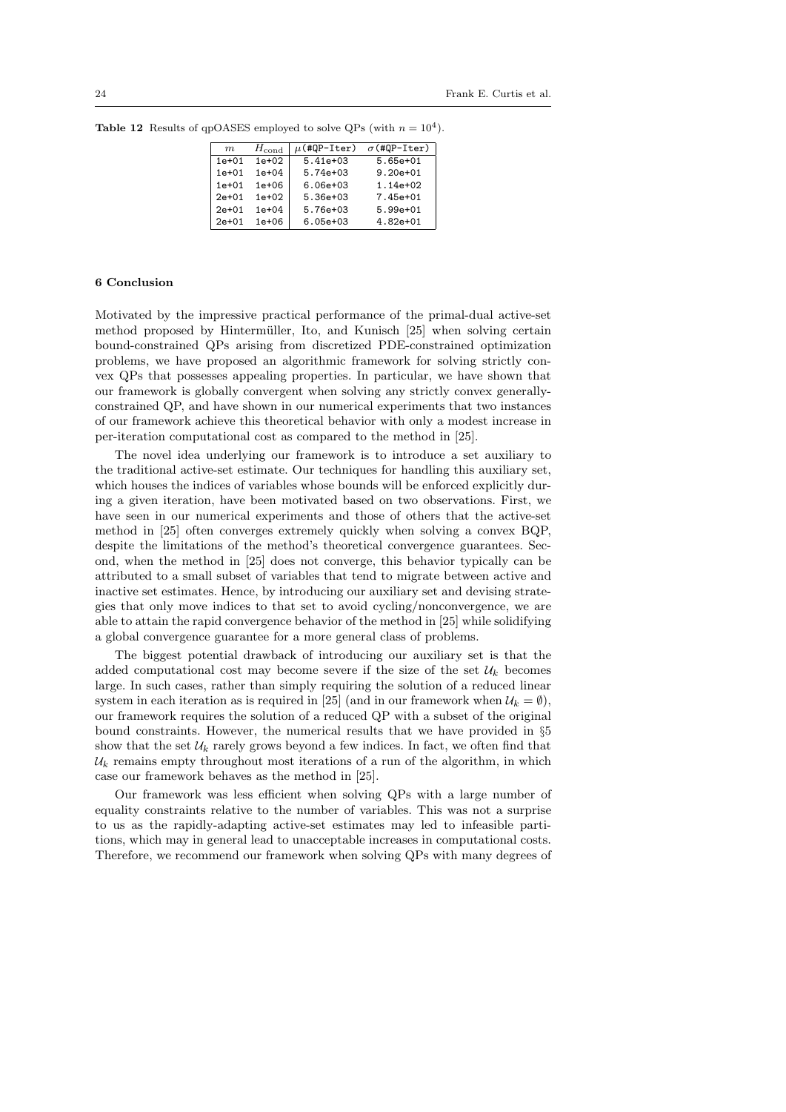| $H_{\text{cond}}$<br>m |           | $\mu$ (#QP-Iter) | $\sigma$ (#QP-Iter) |  |
|------------------------|-----------|------------------|---------------------|--|
| $1e+01$                | $1e+02$   | $5.41e + 0.3$    | $5.65e+01$          |  |
| $1e + 01$              | $1e + 04$ | $5.74e + 0.3$    | $9.20e + 01$        |  |
| $1e + 01$              | $1e + 06$ | $6.06e + 0.3$    | $1.14e+02$          |  |
| $2e+01$                | $1e+02$   | $5.36e + 03$     | 7.45e+01            |  |
| $2e+01$                | $1e + 04$ | $5.76e + 03$     | $5.99e+01$          |  |
| $2e+01$                | $1e + 06$ | $6.05e + 03$     | $4.82e + 01$        |  |

**Table 12** Results of qpOASES employed to solve QPs (with  $n = 10<sup>4</sup>$ ).

### 6 Conclusion

Motivated by the impressive practical performance of the primal-dual active-set method proposed by Hintermüller, Ito, and Kunisch [25] when solving certain bound-constrained QPs arising from discretized PDE-constrained optimization problems, we have proposed an algorithmic framework for solving strictly convex QPs that possesses appealing properties. In particular, we have shown that our framework is globally convergent when solving any strictly convex generallyconstrained QP, and have shown in our numerical experiments that two instances of our framework achieve this theoretical behavior with only a modest increase in per-iteration computational cost as compared to the method in [25].

The novel idea underlying our framework is to introduce a set auxiliary to the traditional active-set estimate. Our techniques for handling this auxiliary set, which houses the indices of variables whose bounds will be enforced explicitly during a given iteration, have been motivated based on two observations. First, we have seen in our numerical experiments and those of others that the active-set method in [25] often converges extremely quickly when solving a convex BQP, despite the limitations of the method's theoretical convergence guarantees. Second, when the method in [25] does not converge, this behavior typically can be attributed to a small subset of variables that tend to migrate between active and inactive set estimates. Hence, by introducing our auxiliary set and devising strategies that only move indices to that set to avoid cycling/nonconvergence, we are able to attain the rapid convergence behavior of the method in [25] while solidifying a global convergence guarantee for a more general class of problems.

The biggest potential drawback of introducing our auxiliary set is that the added computational cost may become severe if the size of the set  $\mathcal{U}_k$  becomes large. In such cases, rather than simply requiring the solution of a reduced linear system in each iteration as is required in [25] (and in our framework when  $\mathcal{U}_k = \emptyset$ ), our framework requires the solution of a reduced QP with a subset of the original bound constraints. However, the numerical results that we have provided in §5 show that the set  $\mathcal{U}_k$  rarely grows beyond a few indices. In fact, we often find that  $\mathcal{U}_k$  remains empty throughout most iterations of a run of the algorithm, in which case our framework behaves as the method in [25].

Our framework was less efficient when solving QPs with a large number of equality constraints relative to the number of variables. This was not a surprise to us as the rapidly-adapting active-set estimates may led to infeasible partitions, which may in general lead to unacceptable increases in computational costs. Therefore, we recommend our framework when solving QPs with many degrees of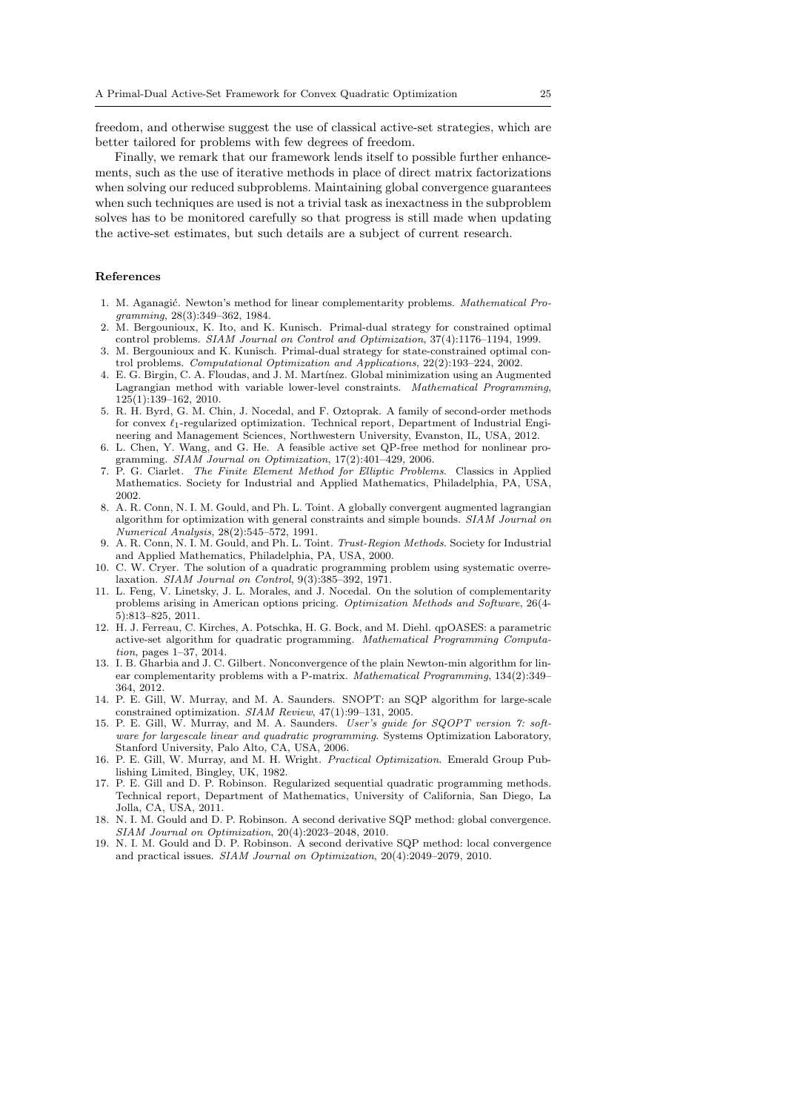freedom, and otherwise suggest the use of classical active-set strategies, which are better tailored for problems with few degrees of freedom.

Finally, we remark that our framework lends itself to possible further enhancements, such as the use of iterative methods in place of direct matrix factorizations when solving our reduced subproblems. Maintaining global convergence guarantees when such techniques are used is not a trivial task as inexactness in the subproblem solves has to be monitored carefully so that progress is still made when updating the active-set estimates, but such details are a subject of current research.

#### References

- 1. M. Aganagić. Newton's method for linear complementarity problems. Mathematical Programming, 28(3):349–362, 1984.
- 2. M. Bergounioux, K. Ito, and K. Kunisch. Primal-dual strategy for constrained optimal control problems. SIAM Journal on Control and Optimization, 37(4):1176–1194, 1999.
- 3. M. Bergounioux and K. Kunisch. Primal-dual strategy for state-constrained optimal control problems. Computational Optimization and Applications, 22(2):193–224, 2002.
- 4. E. G. Birgin, C. A. Floudas, and J. M. Mart´ınez. Global minimization using an Augmented Lagrangian method with variable lower-level constraints. Mathematical Programming, 125(1):139–162, 2010.
- 5. R. H. Byrd, G. M. Chin, J. Nocedal, and F. Oztoprak. A family of second-order methods for convex  $\ell_1$ -regularized optimization. Technical report, Department of Industrial Engineering and Management Sciences, Northwestern University, Evanston, IL, USA, 2012.
- 6. L. Chen, Y. Wang, and G. He. A feasible active set QP-free method for nonlinear programming. SIAM Journal on Optimization, 17(2):401–429, 2006.
- 7. P. G. Ciarlet. The Finite Element Method for Elliptic Problems. Classics in Applied Mathematics. Society for Industrial and Applied Mathematics, Philadelphia, PA, USA, 2002.
- 8. A. R. Conn, N. I. M. Gould, and Ph. L. Toint. A globally convergent augmented lagrangian algorithm for optimization with general constraints and simple bounds. SIAM Journal on Numerical Analysis, 28(2):545–572, 1991.
- 9. A. R. Conn, N. I. M. Gould, and Ph. L. Toint. Trust-Region Methods. Society for Industrial and Applied Mathematics, Philadelphia, PA, USA, 2000.
- 10. C. W. Cryer. The solution of a quadratic programming problem using systematic overrelaxation. SIAM Journal on Control, 9(3):385–392, 1971.
- 11. L. Feng, V. Linetsky, J. L. Morales, and J. Nocedal. On the solution of complementarity problems arising in American options pricing. Optimization Methods and Software, 26(4- 5):813–825, 2011.
- 12. H. J. Ferreau, C. Kirches, A. Potschka, H. G. Bock, and M. Diehl. qpOASES: a parametric active-set algorithm for quadratic programming. Mathematical Programming Computation, pages 1–37, 2014.
- 13. I. B. Gharbia and J. C. Gilbert. Nonconvergence of the plain Newton-min algorithm for linear complementarity problems with a P-matrix. Mathematical Programming, 134(2):349– 364, 2012.
- 14. P. E. Gill, W. Murray, and M. A. Saunders. SNOPT: an SQP algorithm for large-scale constrained optimization. SIAM Review, 47(1):99–131, 2005.
- 15. P. E. Gill, W. Murray, and M. A. Saunders. User's guide for SQOPT version 7: software for largescale linear and quadratic programming. Systems Optimization Laboratory, Stanford University, Palo Alto, CA, USA, 2006.
- 16. P. E. Gill, W. Murray, and M. H. Wright. Practical Optimization. Emerald Group Publishing Limited, Bingley, UK, 1982.
- 17. P. E. Gill and D. P. Robinson. Regularized sequential quadratic programming methods. Technical report, Department of Mathematics, University of California, San Diego, La Jolla, CA, USA, 2011.
- 18. N. I. M. Gould and D. P. Robinson. A second derivative SQP method: global convergence. SIAM Journal on Optimization, 20(4):2023–2048, 2010.
- 19. N. I. M. Gould and D. P. Robinson. A second derivative SQP method: local convergence and practical issues. SIAM Journal on Optimization, 20(4):2049–2079, 2010.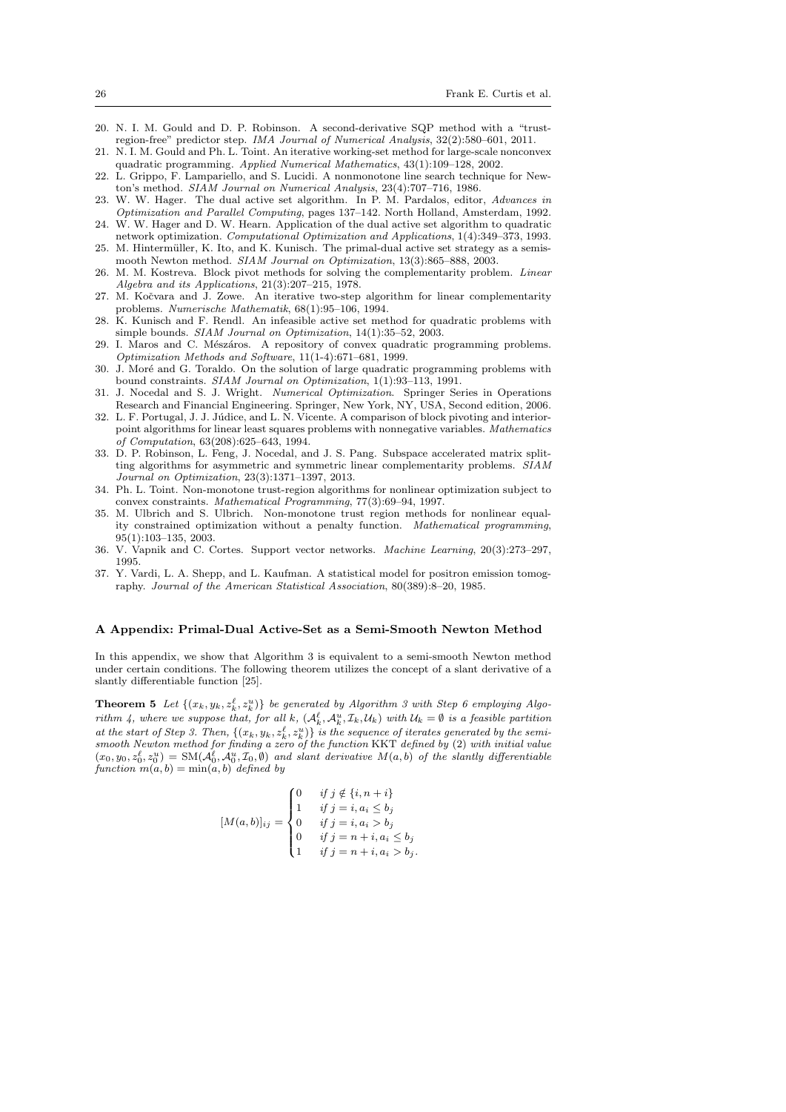- 20. N. I. M. Gould and D. P. Robinson. A second-derivative SQP method with a "trustregion-free" predictor step. IMA Journal of Numerical Analysis, 32(2):580–601, 2011.
- 21. N. I. M. Gould and Ph. L. Toint. An iterative working-set method for large-scale nonconvex quadratic programming. Applied Numerical Mathematics, 43(1):109–128, 2002.
- 22. L. Grippo, F. Lampariello, and S. Lucidi. A nonmonotone line search technique for Newton's method. SIAM Journal on Numerical Analysis, 23(4):707–716, 1986.
- 23. W. W. Hager. The dual active set algorithm. In P. M. Pardalos, editor, Advances in Optimization and Parallel Computing, pages 137–142. North Holland, Amsterdam, 1992.
- 24. W. W. Hager and D. W. Hearn. Application of the dual active set algorithm to quadratic network optimization. Computational Optimization and Applications, 1(4):349–373, 1993. 25. M. Hintermüller, K. Ito, and K. Kunisch. The primal-dual active set strategy as a semis-
- mooth Newton method. SIAM Journal on Optimization, 13(3):865–888, 2003.
- 26. M. M. Kostreva. Block pivot methods for solving the complementarity problem. Linear Algebra and its Applications, 21(3):207–215, 1978.
- 27. M. Kočvara and J. Zowe. An iterative two-step algorithm for linear complementarity problems. Numerische Mathematik, 68(1):95–106, 1994.
- 28. K. Kunisch and F. Rendl. An infeasible active set method for quadratic problems with simple bounds. SIAM Journal on Optimization, 14(1):35–52, 2003.
- 29. I. Maros and C. Mészáros. A repository of convex quadratic programming problems. Optimization Methods and Software, 11(1-4):671–681, 1999.
- 30. J. Moré and G. Toraldo. On the solution of large quadratic programming problems with bound constraints. SIAM Journal on Optimization, 1(1):93–113, 1991.
- 31. J. Nocedal and S. J. Wright. Numerical Optimization. Springer Series in Operations Research and Financial Engineering. Springer, New York, NY, USA, Second edition, 2006.
- 32. L. F. Portugal, J. J. Júdice, and L. N. Vicente. A comparison of block pivoting and interiorpoint algorithms for linear least squares problems with nonnegative variables. Mathematics of Computation, 63(208):625–643, 1994.
- 33. D. P. Robinson, L. Feng, J. Nocedal, and J. S. Pang. Subspace accelerated matrix splitting algorithms for asymmetric and symmetric linear complementarity problems. SIAM Journal on Optimization, 23(3):1371–1397, 2013.
- 34. Ph. L. Toint. Non-monotone trust-region algorithms for nonlinear optimization subject to convex constraints. Mathematical Programming, 77(3):69–94, 1997.
- 35. M. Ulbrich and S. Ulbrich. Non-monotone trust region methods for nonlinear equality constrained optimization without a penalty function. Mathematical programming, 95(1):103–135, 2003.
- 36. V. Vapnik and C. Cortes. Support vector networks. Machine Learning, 20(3):273–297, 1995.
- 37. Y. Vardi, L. A. Shepp, and L. Kaufman. A statistical model for positron emission tomography. Journal of the American Statistical Association, 80(389):8–20, 1985.

#### A Appendix: Primal-Dual Active-Set as a Semi-Smooth Newton Method

In this appendix, we show that Algorithm 3 is equivalent to a semi-smooth Newton method under certain conditions. The following theorem utilizes the concept of a slant derivative of a slantly differentiable function [25].

**Theorem 5** Let  $\{(x_k, y_k, z_k^{\ell}, z_k^{\nu})\}$  be generated by Algorithm 3 with Step 6 employing Algorithm 4, where we suppose that, for all k,  $(A_k^{\ell}, A_k^u, \mathcal{I}_k, \mathcal{U}_k)$  with  $\mathcal{U}_k = \emptyset$  is a feasible partition at the start of Step 3. Then,  $\{(x_k, y_k, z_k^{\ell}, z_k^{\{u\}})\}$  is the sequence of iterates generated by the semismooth Newton method for finding a zero of the function KKT defined by (2) with initial value  $(x_0, y_0, z_0^{\ell}, z_0^u) = SM(\mathcal{A}_0^{\ell}, \mathcal{A}_0^u, \mathcal{I}_0, \emptyset)$  and slant derivative  $M(a, b)$  of the slantly differentiable function  $m(a, b) = min(a, b)$  defined by

$$
[M(a,b)]_{ij} = \begin{cases} 0 & \text{if } j \notin \{i, n+i\} \\ 1 & \text{if } j = i, a_i \le b_j \\ 0 & \text{if } j = i, a_i > b_j \\ 0 & \text{if } j = n+i, a_i \le b_j \\ 1 & \text{if } j = n+i, a_i > b_j. \end{cases}
$$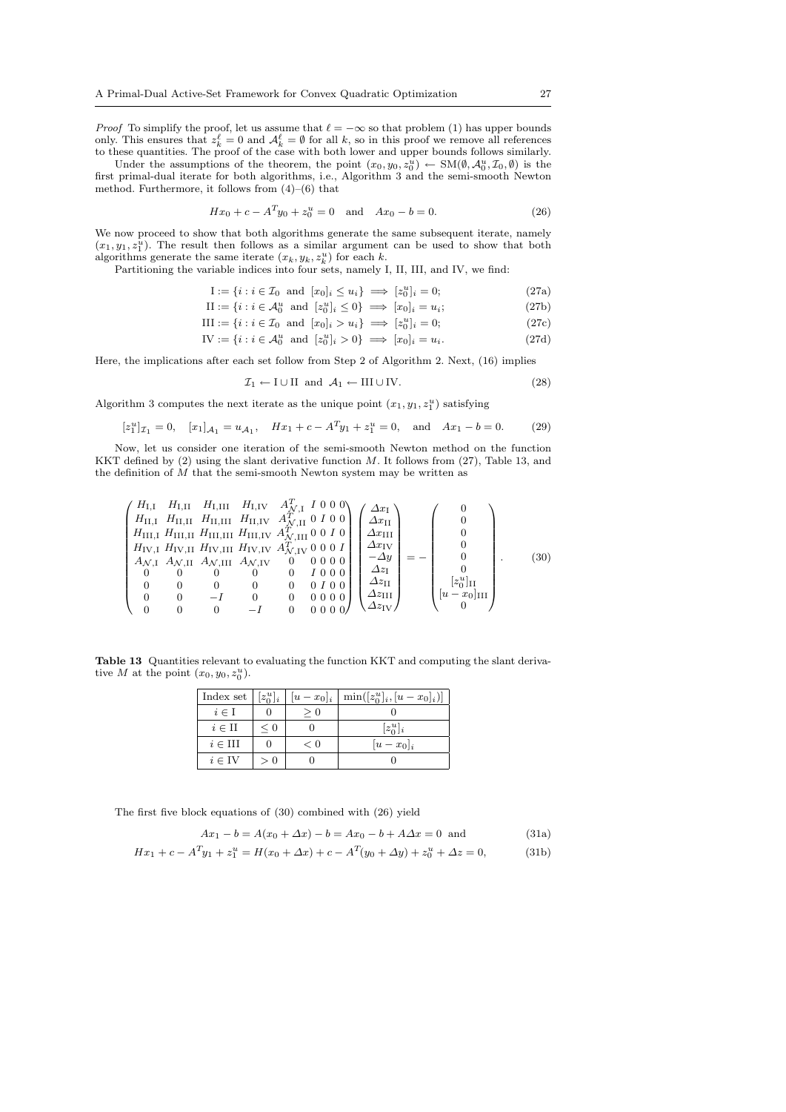*Proof* To simplify the proof, let us assume that  $\ell = -\infty$  so that problem (1) has upper bounds only. This ensures that  $z_k^{\ell} = 0$  and  $\mathcal{A}_k^{\ell} = \emptyset$  for all k, so in this proof we remove all references to these quantities. The proof of the case with both lower and upper bounds follows similarly.

Under the assumptions of the theorem, the point  $(x_0, y_0, z_0^u) \leftarrow SM(\emptyset, \mathcal{A}_0^u, \mathcal{I}_0, \emptyset)$  is the first primal-dual iterate for both algorithms, i.e., Algorithm 3 and the semi-smooth Newton method. Furthermore, it follows from (4)–(6) that

$$
Hx_0 + c - A^T y_0 + z_0^u = 0 \quad \text{and} \quad Ax_0 - b = 0. \tag{26}
$$

We now proceed to show that both algorithms generate the same subsequent iterate, namely  $(x_1, y_1, z_1^u)$ . The result then follows as a similar argument can be used to show that both algorithms generate the same iterate  $(x_k, y_k, z_k^u)$  for each k.

Partitioning the variable indices into four sets, namely I, II, III, and IV, we find:

$$
I := \{ i : i \in \mathcal{I}_0 \text{ and } [x_0]_i \le u_i \} \implies [z_0^u]_i = 0; \tag{27a}
$$

$$
\text{II} := \{i : i \in \mathcal{A}_0^u \text{ and } [z_0^u]_i \le 0\} \implies [x_0]_i = u_i;
$$
\n
$$
(27b)
$$

III := {
$$
i : i \in \mathcal{I}_0
$$
 and  $[x_0]_i > u_i$ }  $\implies [z_0^u]_i = 0$ ;\n(27c)

IV := {
$$
i : i \in \mathcal{A}_0^u
$$
 and  $[z_0^u]_i > 0$ }  $\implies [x_0]_i = u_i.$  (27d)

Here, the implications after each set follow from Step 2 of Algorithm 2. Next, (16) implies

$$
\mathcal{I}_1 \leftarrow I \cup II \text{ and } \mathcal{A}_1 \leftarrow III \cup IV. \tag{28}
$$

Algorithm 3 computes the next iterate as the unique point  $(x_1, y_1, z_1^u)$  satisfying

 $\sqrt{2}$ 

 $\overline{\phantom{0}}$ 

$$
[z_1^u]_{\mathcal{I}_1} = 0
$$
,  $[x_1]_{\mathcal{A}_1} = u_{\mathcal{A}_1}$ ,  $Hx_1 + c - A^T y_1 + z_1^u = 0$ , and  $Ax_1 - b = 0$ . (29)

Now, let us consider one iteration of the semi-smooth Newton method on the function KKT defined by  $(2)$  using the slant derivative function M. It follows from  $(27)$ , Table 13, and the definition of  $\overline{M}$  that the semi-smooth Newton system may be written as

HI,<sup>I</sup> HI,II HI,III HI,IV A<sup>T</sup> N,I I 0 0 0 HII,<sup>I</sup> HII,II HII,III HII,IV A<sup>T</sup> <sup>N</sup>,II 0 I 0 0 HIII,<sup>I</sup> HIII,II HIII,III HIII,IV A<sup>T</sup> <sup>N</sup>,III 0 0 I 0 HIV,<sup>I</sup> HIV,II HIV,III HIV,IV A<sup>T</sup> <sup>N</sup>,IV 0 0 0 I AN,<sup>I</sup> AN,II AN,III AN,IV 0 0 0 0 0 0 0 0 0 0 I 0 0 0 0 0 0 0 0 0 I 0 0 0 0 −I 0 0 0 0 0 0 0 0 0 −I 0 0 0 0 0 1 CCCCCCCCCCCCA 0 BBBBBBBBBBB@ ∆x<sup>I</sup> ∆xII ∆xIII ∆xIV −∆y ∆z<sup>I</sup> ∆zII ∆zIII ∆zIV 1 CCCCCCCCCCCA = − 0 BBBBBBBBBBB@ 0 0 0 0 0 0 [z u 0 ]II [u − x0]III 0 1 CCCCCCCCCCCA . (30)

Table 13 Quantities relevant to evaluating the function KKT and computing the slant derivative M at the point  $(x_0, y_0, z_0^u)$ .

| Index set           | $[z_0^u]_i$ | $ u-x_0 _i$ | $\min([z_0^u]_i, [u-x_0]_i)]$ |
|---------------------|-------------|-------------|-------------------------------|
| $i \in I$           |             |             |                               |
| $i \in \Pi$         | $\leq 0$    |             | $[z_0^u]_i$                   |
| $i \in \text{III}$  |             | $\lt$ ()    | $ u-x_0 _i$                   |
| $i \in \mathrm{IV}$ | > 0         |             |                               |

The first five block equations of (30) combined with (26) yield

$$
Ax_1 - b = A(x_0 + \Delta x) - b = Ax_0 - b + A\Delta x = 0 \text{ and } (31a)
$$

$$
Hx_1 + c - A^T y_1 + z_1^u = H(x_0 + \Delta x) + c - A^T (y_0 + \Delta y) + z_0^u + \Delta z = 0,
$$
 (31b)